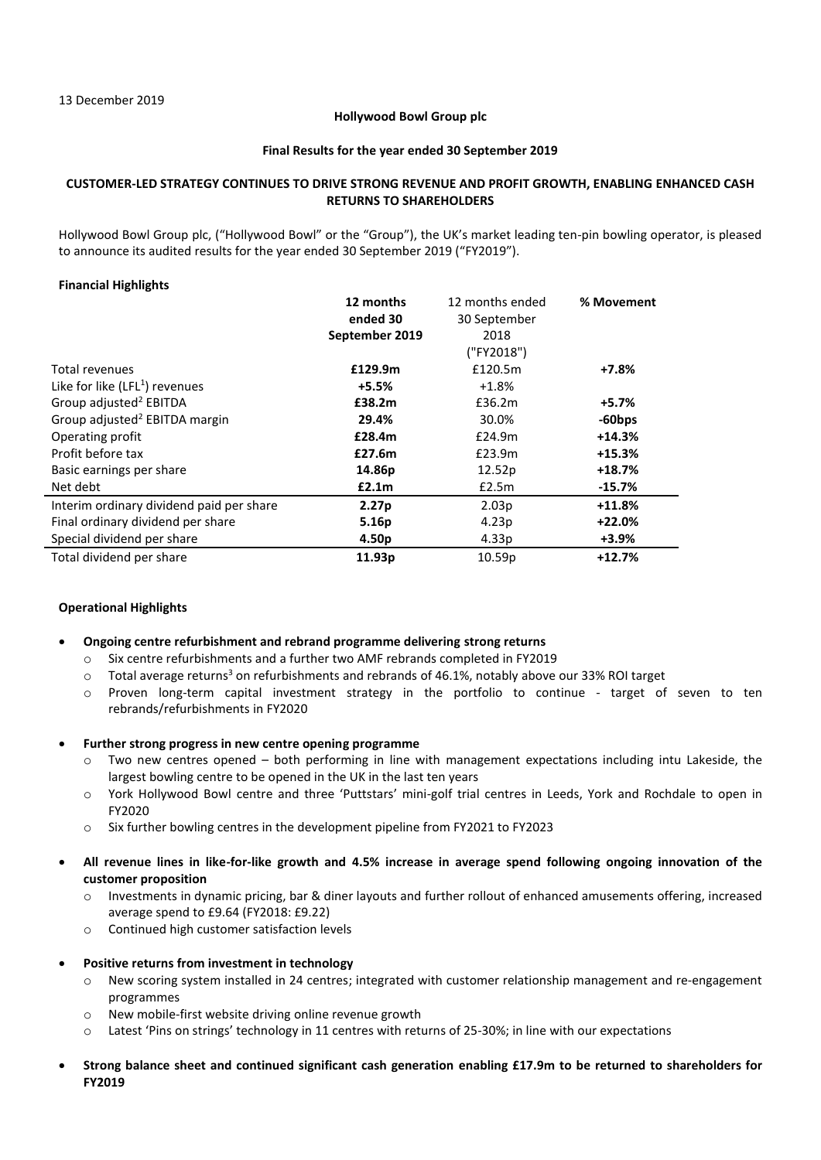### **Hollywood Bowl Group plc**

### **Final Results for the year ended 30 September 2019**

# **CUSTOMER-LED STRATEGY CONTINUES TO DRIVE STRONG REVENUE AND PROFIT GROWTH, ENABLING ENHANCED CASH RETURNS TO SHAREHOLDERS**

Hollywood Bowl Group plc, ("Hollywood Bowl" or the "Group"), the UK's market leading ten-pin bowling operator, is pleased to announce its audited results for the year ended 30 September 2019 ("FY2019").

# **Financial Highlights**

|                                           | 12 months         | 12 months ended   | % Movement |
|-------------------------------------------|-------------------|-------------------|------------|
|                                           | ended 30          | 30 September      |            |
|                                           | September 2019    | 2018              |            |
|                                           |                   | ("FY2018")        |            |
| Total revenues                            | £129.9m           | £120.5m           | +7.8%      |
| Like for like $(LFL1)$ revenues           | +5.5%             | $+1.8%$           |            |
| Group adjusted <sup>2</sup> EBITDA        | £38.2m            | £36.2m            | $+5.7%$    |
| Group adjusted <sup>2</sup> EBITDA margin | 29.4%             | 30.0%             | $-60$ bps  |
| Operating profit                          | £28.4m            | £24.9m            | $+14.3%$   |
| Profit before tax                         | £27.6m            | £23.9m            | $+15.3%$   |
| Basic earnings per share                  | 14.86p            | 12.52p            | $+18.7%$   |
| Net debt                                  | £2.1m             | £2.5m             | $-15.7%$   |
| Interim ordinary dividend paid per share  | 2.27 <sub>p</sub> | 2.03p             | $+11.8%$   |
| Final ordinary dividend per share         | 5.16p             | 4.23p             | $+22.0%$   |
| Special dividend per share                | 4.50p             | 4.33 <sub>p</sub> | +3.9%      |
| Total dividend per share                  | 11.93p            | 10.59p            | $+12.7%$   |

# **Operational Highlights**

### • **Ongoing centre refurbishment and rebrand programme delivering strong returns**

- o Six centre refurbishments and a further two AMF rebrands completed in FY2019
- $\circ$  Total average returns<sup>3</sup> on refurbishments and rebrands of 46.1%, notably above our 33% ROI target
- o Proven long-term capital investment strategy in the portfolio to continue target of seven to ten rebrands/refurbishments in FY2020
- **Further strong progress in new centre opening programme**
	- o Two new centres opened both performing in line with management expectations including intu Lakeside, the largest bowling centre to be opened in the UK in the last ten years
	- o York Hollywood Bowl centre and three 'Puttstars' mini-golf trial centres in Leeds, York and Rochdale to open in FY2020
	- o Six further bowling centres in the development pipeline from FY2021 to FY2023
- **All revenue lines in like-for-like growth and 4.5% increase in average spend following ongoing innovation of the customer proposition** 
	- o Investments in dynamic pricing, bar & diner layouts and further rollout of enhanced amusements offering, increased average spend to £9.64 (FY2018: £9.22)
	- o Continued high customer satisfaction levels

# • **Positive returns from investment in technology**

- o New scoring system installed in 24 centres; integrated with customer relationship management and re-engagement programmes
- o New mobile-first website driving online revenue growth
- o Latest 'Pins on strings' technology in 11 centres with returns of 25-30%; in line with our expectations
- **Strong balance sheet and continued significant cash generation enabling £17.9m to be returned to shareholders for FY2019**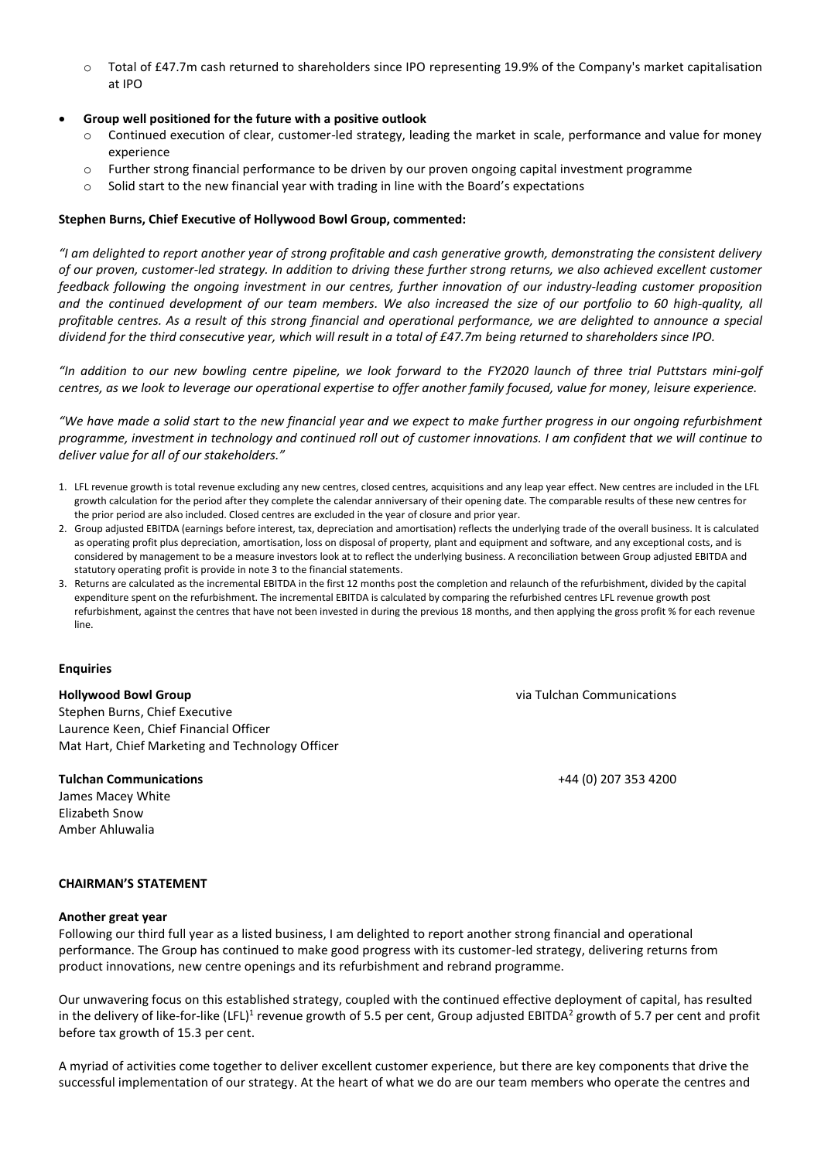o Total of £47.7m cash returned to shareholders since IPO representing 19.9% of the Company's market capitalisation at IPO

# • **Group well positioned for the future with a positive outlook**

- Continued execution of clear, customer-led strategy, leading the market in scale, performance and value for money experience
- o Further strong financial performance to be driven by our proven ongoing capital investment programme
- $\circ$  Solid start to the new financial year with trading in line with the Board's expectations

# **Stephen Burns, Chief Executive of Hollywood Bowl Group, commented:**

*"I am delighted to report another year of strong profitable and cash generative growth, demonstrating the consistent delivery of our proven, customer-led strategy. In addition to driving these further strong returns, we also achieved excellent customer feedback following the ongoing investment in our centres, further innovation of our industry-leading customer proposition and the continued development of our team members. We also increased the size of our portfolio to 60 high-quality, all profitable centres. As a result of this strong financial and operational performance, we are delighted to announce a special dividend for the third consecutive year, which will result in a total of £47.7m being returned to shareholders since IPO.*

*"In addition to our new bowling centre pipeline, we look forward to the FY2020 launch of three trial Puttstars mini-golf centres, as we look to leverage our operational expertise to offer another family focused, value for money, leisure experience.*

*"We have made a solid start to the new financial year and we expect to make further progress in our ongoing refurbishment programme, investment in technology and continued roll out of customer innovations. I am confident that we will continue to deliver value for all of our stakeholders."*

- 1. LFL revenue growth is total revenue excluding any new centres, closed centres, acquisitions and any leap year effect. New centres are included in the LFL growth calculation for the period after they complete the calendar anniversary of their opening date. The comparable results of these new centres for the prior period are also included. Closed centres are excluded in the year of closure and prior year.
- 2. Group adjusted EBITDA (earnings before interest, tax, depreciation and amortisation) reflects the underlying trade of the overall business. It is calculated as operating profit plus depreciation, amortisation, loss on disposal of property, plant and equipment and software, and any exceptional costs, and is considered by management to be a measure investors look at to reflect the underlying business. A reconciliation between Group adjusted EBITDA and statutory operating profit is provide in note 3 to the financial statements.
- 3. Returns are calculated as the incremental EBITDA in the first 12 months post the completion and relaunch of the refurbishment, divided by the capital expenditure spent on the refurbishment. The incremental EBITDA is calculated by comparing the refurbished centres LFL revenue growth post refurbishment, against the centres that have not been invested in during the previous 18 months, and then applying the gross profit % for each revenue line.

# **Enquiries**

# **Hollywood Bowl Group**

Stephen Burns, Chief Executive Laurence Keen, Chief Financial Officer Mat Hart, Chief Marketing and Technology Officer

# **Tulchan Communications**

James Macey White Elizabeth Snow Amber Ahluwalia

via Tulchan Communications

+44 (0) 207 353 4200

### **CHAIRMAN'S STATEMENT**

### **Another great year**

Following our third full year as a listed business, I am delighted to report another strong financial and operational performance. The Group has continued to make good progress with its customer-led strategy, delivering returns from product innovations, new centre openings and its refurbishment and rebrand programme.

Our unwavering focus on this established strategy, coupled with the continued effective deployment of capital, has resulted in the delivery of like-for-like (LFL)<sup>1</sup> revenue growth of 5.5 per cent, Group adjusted EBITDA<sup>2</sup> growth of 5.7 per cent and profit before tax growth of 15.3 per cent.

A myriad of activities come together to deliver excellent customer experience, but there are key components that drive the successful implementation of our strategy. At the heart of what we do are our team members who operate the centres and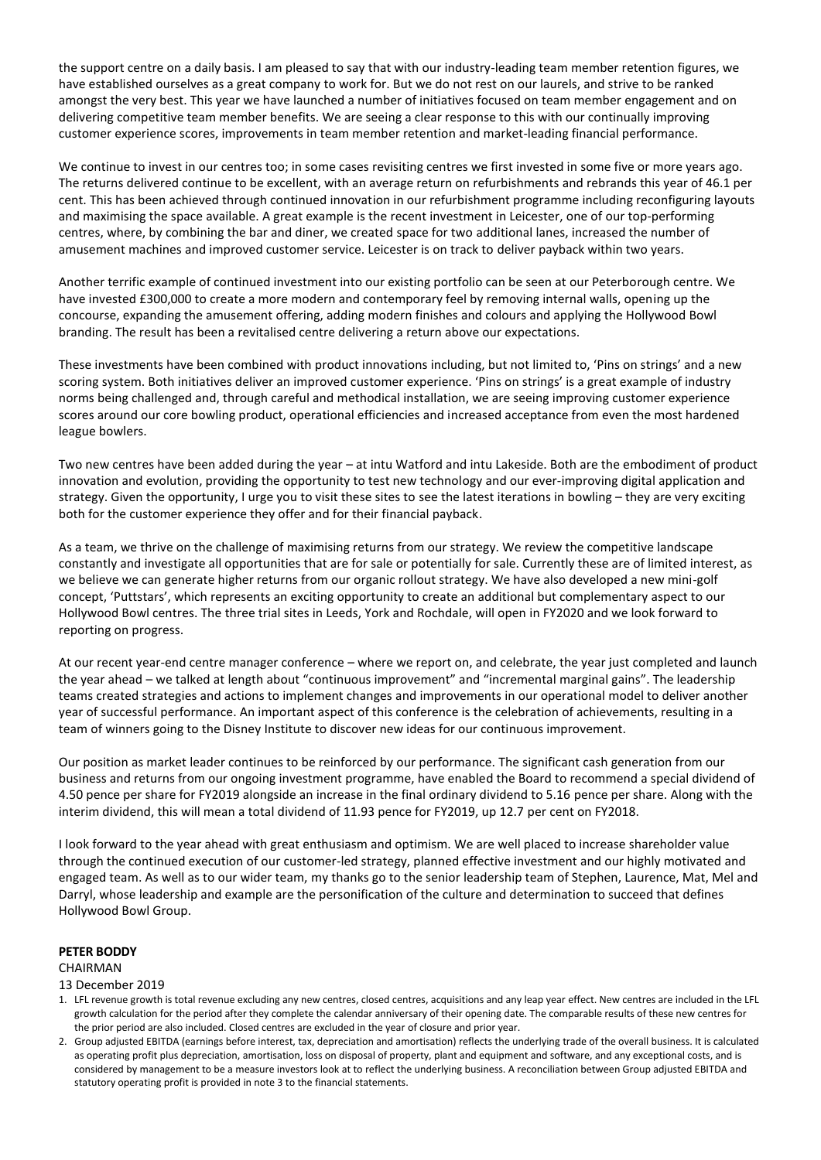the support centre on a daily basis. I am pleased to say that with our industry-leading team member retention figures, we have established ourselves as a great company to work for. But we do not rest on our laurels, and strive to be ranked amongst the very best. This year we have launched a number of initiatives focused on team member engagement and on delivering competitive team member benefits. We are seeing a clear response to this with our continually improving customer experience scores, improvements in team member retention and market-leading financial performance.

We continue to invest in our centres too; in some cases revisiting centres we first invested in some five or more years ago. The returns delivered continue to be excellent, with an average return on refurbishments and rebrands this year of 46.1 per cent. This has been achieved through continued innovation in our refurbishment programme including reconfiguring layouts and maximising the space available. A great example is the recent investment in Leicester, one of our top-performing centres, where, by combining the bar and diner, we created space for two additional lanes, increased the number of amusement machines and improved customer service. Leicester is on track to deliver payback within two years.

Another terrific example of continued investment into our existing portfolio can be seen at our Peterborough centre. We have invested £300,000 to create a more modern and contemporary feel by removing internal walls, opening up the concourse, expanding the amusement offering, adding modern finishes and colours and applying the Hollywood Bowl branding. The result has been a revitalised centre delivering a return above our expectations.

These investments have been combined with product innovations including, but not limited to, 'Pins on strings' and a new scoring system. Both initiatives deliver an improved customer experience. 'Pins on strings' is a great example of industry norms being challenged and, through careful and methodical installation, we are seeing improving customer experience scores around our core bowling product, operational efficiencies and increased acceptance from even the most hardened league bowlers.

Two new centres have been added during the year – at intu Watford and intu Lakeside. Both are the embodiment of product innovation and evolution, providing the opportunity to test new technology and our ever-improving digital application and strategy. Given the opportunity, I urge you to visit these sites to see the latest iterations in bowling – they are very exciting both for the customer experience they offer and for their financial payback.

As a team, we thrive on the challenge of maximising returns from our strategy. We review the competitive landscape constantly and investigate all opportunities that are for sale or potentially for sale. Currently these are of limited interest, as we believe we can generate higher returns from our organic rollout strategy. We have also developed a new mini-golf concept, 'Puttstars', which represents an exciting opportunity to create an additional but complementary aspect to our Hollywood Bowl centres. The three trial sites in Leeds, York and Rochdale, will open in FY2020 and we look forward to reporting on progress.

At our recent year-end centre manager conference – where we report on, and celebrate, the year just completed and launch the year ahead – we talked at length about "continuous improvement" and "incremental marginal gains". The leadership teams created strategies and actions to implement changes and improvements in our operational model to deliver another year of successful performance. An important aspect of this conference is the celebration of achievements, resulting in a team of winners going to the Disney Institute to discover new ideas for our continuous improvement.

Our position as market leader continues to be reinforced by our performance. The significant cash generation from our business and returns from our ongoing investment programme, have enabled the Board to recommend a special dividend of 4.50 pence per share for FY2019 alongside an increase in the final ordinary dividend to 5.16 pence per share. Along with the interim dividend, this will mean a total dividend of 11.93 pence for FY2019, up 12.7 per cent on FY2018.

I look forward to the year ahead with great enthusiasm and optimism. We are well placed to increase shareholder value through the continued execution of our customer-led strategy, planned effective investment and our highly motivated and engaged team. As well as to our wider team, my thanks go to the senior leadership team of Stephen, Laurence, Mat, Mel and Darryl, whose leadership and example are the personification of the culture and determination to succeed that defines Hollywood Bowl Group.

# **PETER BODDY**

### CHAIRMAN

### 13 December 2019

- 1. LFL revenue growth is total revenue excluding any new centres, closed centres, acquisitions and any leap year effect. New centres are included in the LFL growth calculation for the period after they complete the calendar anniversary of their opening date. The comparable results of these new centres for the prior period are also included. Closed centres are excluded in the year of closure and prior year.
- 2. Group adjusted EBITDA (earnings before interest, tax, depreciation and amortisation) reflects the underlying trade of the overall business. It is calculated as operating profit plus depreciation, amortisation, loss on disposal of property, plant and equipment and software, and any exceptional costs, and is considered by management to be a measure investors look at to reflect the underlying business. A reconciliation between Group adjusted EBITDA and statutory operating profit is provided in note 3 to the financial statements.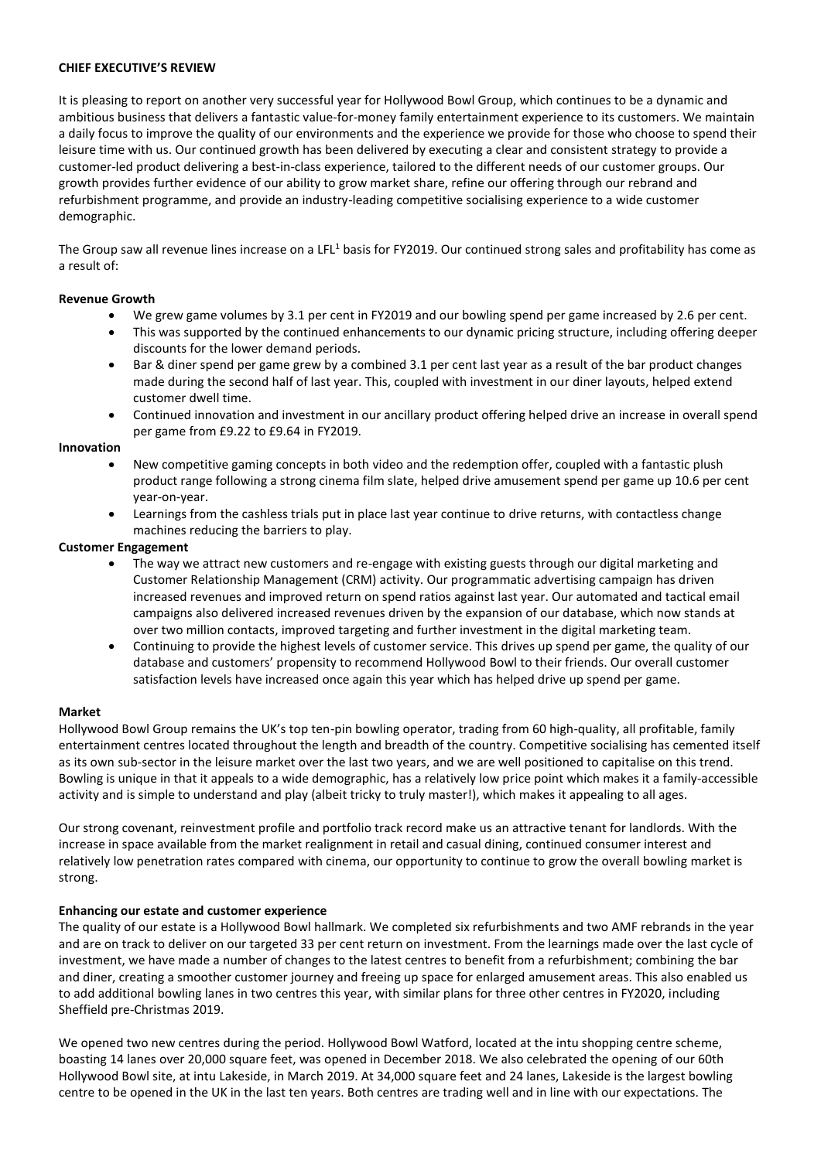### **CHIEF EXECUTIVE'S REVIEW**

It is pleasing to report on another very successful year for Hollywood Bowl Group, which continues to be a dynamic and ambitious business that delivers a fantastic value-for-money family entertainment experience to its customers. We maintain a daily focus to improve the quality of our environments and the experience we provide for those who choose to spend their leisure time with us. Our continued growth has been delivered by executing a clear and consistent strategy to provide a customer-led product delivering a best-in-class experience, tailored to the different needs of our customer groups. Our growth provides further evidence of our ability to grow market share, refine our offering through our rebrand and refurbishment programme, and provide an industry-leading competitive socialising experience to a wide customer demographic.

The Group saw all revenue lines increase on a LFL<sup>1</sup> basis for FY2019. Our continued strong sales and profitability has come as a result of:

### **Revenue Growth**

- We grew game volumes by 3.1 per cent in FY2019 and our bowling spend per game increased by 2.6 per cent.
- This was supported by the continued enhancements to our dynamic pricing structure, including offering deeper discounts for the lower demand periods.
- Bar & diner spend per game grew by a combined 3.1 per cent last year as a result of the bar product changes made during the second half of last year. This, coupled with investment in our diner layouts, helped extend customer dwell time.
- Continued innovation and investment in our ancillary product offering helped drive an increase in overall spend per game from £9.22 to £9.64 in FY2019.

### **Innovation**

- New competitive gaming concepts in both video and the redemption offer, coupled with a fantastic plush product range following a strong cinema film slate, helped drive amusement spend per game up 10.6 per cent year-on-year.
- Learnings from the cashless trials put in place last year continue to drive returns, with contactless change machines reducing the barriers to play.

### **Customer Engagement**

- The way we attract new customers and re-engage with existing guests through our digital marketing and Customer Relationship Management (CRM) activity. Our programmatic advertising campaign has driven increased revenues and improved return on spend ratios against last year. Our automated and tactical email campaigns also delivered increased revenues driven by the expansion of our database, which now stands at over two million contacts, improved targeting and further investment in the digital marketing team.
- Continuing to provide the highest levels of customer service. This drives up spend per game, the quality of our database and customers' propensity to recommend Hollywood Bowl to their friends. Our overall customer satisfaction levels have increased once again this year which has helped drive up spend per game.

### **Market**

Hollywood Bowl Group remains the UK's top ten-pin bowling operator, trading from 60 high-quality, all profitable, family entertainment centres located throughout the length and breadth of the country. Competitive socialising has cemented itself as its own sub-sector in the leisure market over the last two years, and we are well positioned to capitalise on this trend. Bowling is unique in that it appeals to a wide demographic, has a relatively low price point which makes it a family-accessible activity and is simple to understand and play (albeit tricky to truly master!), which makes it appealing to all ages.

Our strong covenant, reinvestment profile and portfolio track record make us an attractive tenant for landlords. With the increase in space available from the market realignment in retail and casual dining, continued consumer interest and relatively low penetration rates compared with cinema, our opportunity to continue to grow the overall bowling market is strong.

# **Enhancing our estate and customer experience**

The quality of our estate is a Hollywood Bowl hallmark. We completed six refurbishments and two AMF rebrands in the year and are on track to deliver on our targeted 33 per cent return on investment. From the learnings made over the last cycle of investment, we have made a number of changes to the latest centres to benefit from a refurbishment; combining the bar and diner, creating a smoother customer journey and freeing up space for enlarged amusement areas. This also enabled us to add additional bowling lanes in two centres this year, with similar plans for three other centres in FY2020, including Sheffield pre-Christmas 2019.

We opened two new centres during the period. Hollywood Bowl Watford, located at the intu shopping centre scheme, boasting 14 lanes over 20,000 square feet, was opened in December 2018. We also celebrated the opening of our 60th Hollywood Bowl site, at intu Lakeside, in March 2019. At 34,000 square feet and 24 lanes, Lakeside is the largest bowling centre to be opened in the UK in the last ten years. Both centres are trading well and in line with our expectations. The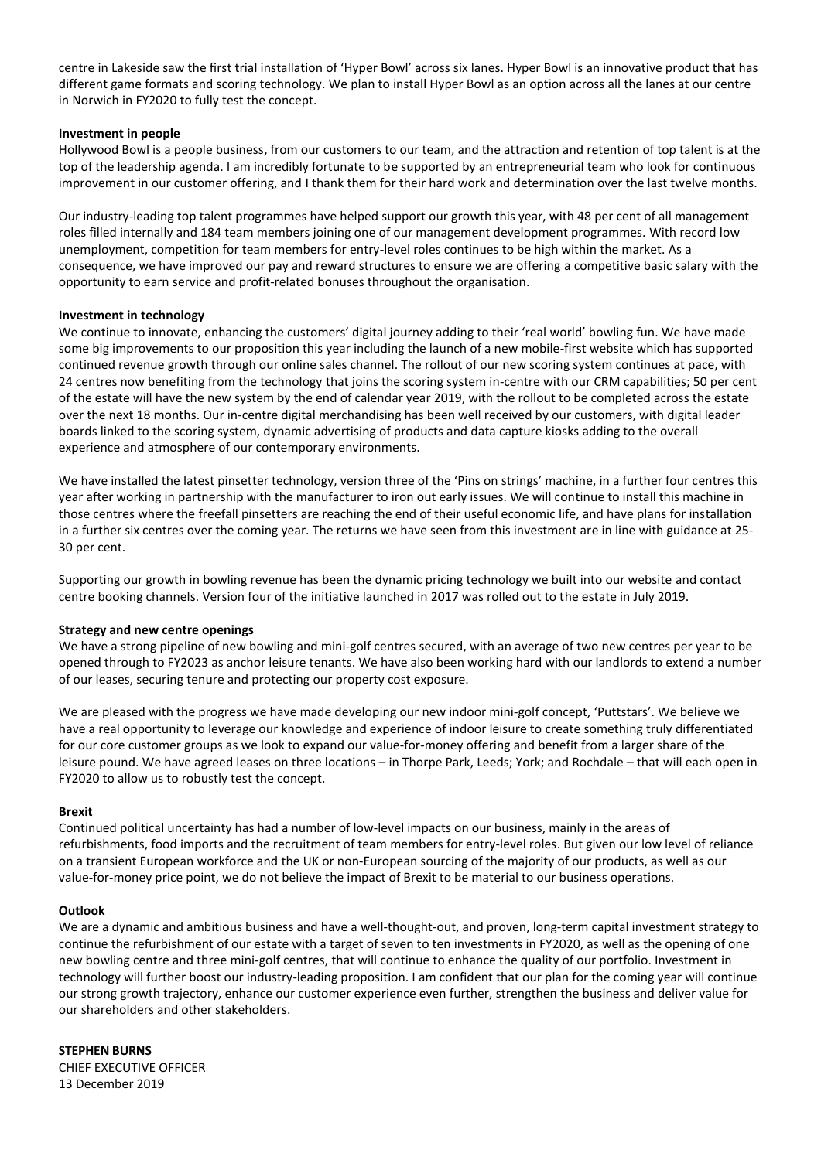centre in Lakeside saw the first trial installation of 'Hyper Bowl' across six lanes. Hyper Bowl is an innovative product that has different game formats and scoring technology. We plan to install Hyper Bowl as an option across all the lanes at our centre in Norwich in FY2020 to fully test the concept.

### **Investment in people**

Hollywood Bowl is a people business, from our customers to our team, and the attraction and retention of top talent is at the top of the leadership agenda. I am incredibly fortunate to be supported by an entrepreneurial team who look for continuous improvement in our customer offering, and I thank them for their hard work and determination over the last twelve months.

Our industry-leading top talent programmes have helped support our growth this year, with 48 per cent of all management roles filled internally and 184 team members joining one of our management development programmes. With record low unemployment, competition for team members for entry-level roles continues to be high within the market. As a consequence, we have improved our pay and reward structures to ensure we are offering a competitive basic salary with the opportunity to earn service and profit-related bonuses throughout the organisation.

### **Investment in technology**

We continue to innovate, enhancing the customers' digital journey adding to their 'real world' bowling fun. We have made some big improvements to our proposition this year including the launch of a new mobile-first website which has supported continued revenue growth through our online sales channel. The rollout of our new scoring system continues at pace, with 24 centres now benefiting from the technology that joins the scoring system in-centre with our CRM capabilities; 50 per cent of the estate will have the new system by the end of calendar year 2019, with the rollout to be completed across the estate over the next 18 months. Our in-centre digital merchandising has been well received by our customers, with digital leader boards linked to the scoring system, dynamic advertising of products and data capture kiosks adding to the overall experience and atmosphere of our contemporary environments.

We have installed the latest pinsetter technology, version three of the 'Pins on strings' machine, in a further four centres this year after working in partnership with the manufacturer to iron out early issues. We will continue to install this machine in those centres where the freefall pinsetters are reaching the end of their useful economic life, and have plans for installation in a further six centres over the coming year. The returns we have seen from this investment are in line with guidance at 25- 30 per cent.

Supporting our growth in bowling revenue has been the dynamic pricing technology we built into our website and contact centre booking channels. Version four of the initiative launched in 2017 was rolled out to the estate in July 2019.

### **Strategy and new centre openings**

We have a strong pipeline of new bowling and mini-golf centres secured, with an average of two new centres per year to be opened through to FY2023 as anchor leisure tenants. We have also been working hard with our landlords to extend a number of our leases, securing tenure and protecting our property cost exposure.

We are pleased with the progress we have made developing our new indoor mini-golf concept, 'Puttstars'. We believe we have a real opportunity to leverage our knowledge and experience of indoor leisure to create something truly differentiated for our core customer groups as we look to expand our value-for-money offering and benefit from a larger share of the leisure pound. We have agreed leases on three locations – in Thorpe Park, Leeds; York; and Rochdale – that will each open in FY2020 to allow us to robustly test the concept.

### **Brexit**

Continued political uncertainty has had a number of low-level impacts on our business, mainly in the areas of refurbishments, food imports and the recruitment of team members for entry-level roles. But given our low level of reliance on a transient European workforce and the UK or non-European sourcing of the majority of our products, as well as our value-for-money price point, we do not believe the impact of Brexit to be material to our business operations.

### **Outlook**

We are a dynamic and ambitious business and have a well-thought-out, and proven, long-term capital investment strategy to continue the refurbishment of our estate with a target of seven to ten investments in FY2020, as well as the opening of one new bowling centre and three mini-golf centres, that will continue to enhance the quality of our portfolio. Investment in technology will further boost our industry-leading proposition. I am confident that our plan for the coming year will continue our strong growth trajectory, enhance our customer experience even further, strengthen the business and deliver value for our shareholders and other stakeholders.

**STEPHEN BURNS** CHIEF EXECUTIVE OFFICER 13 December 2019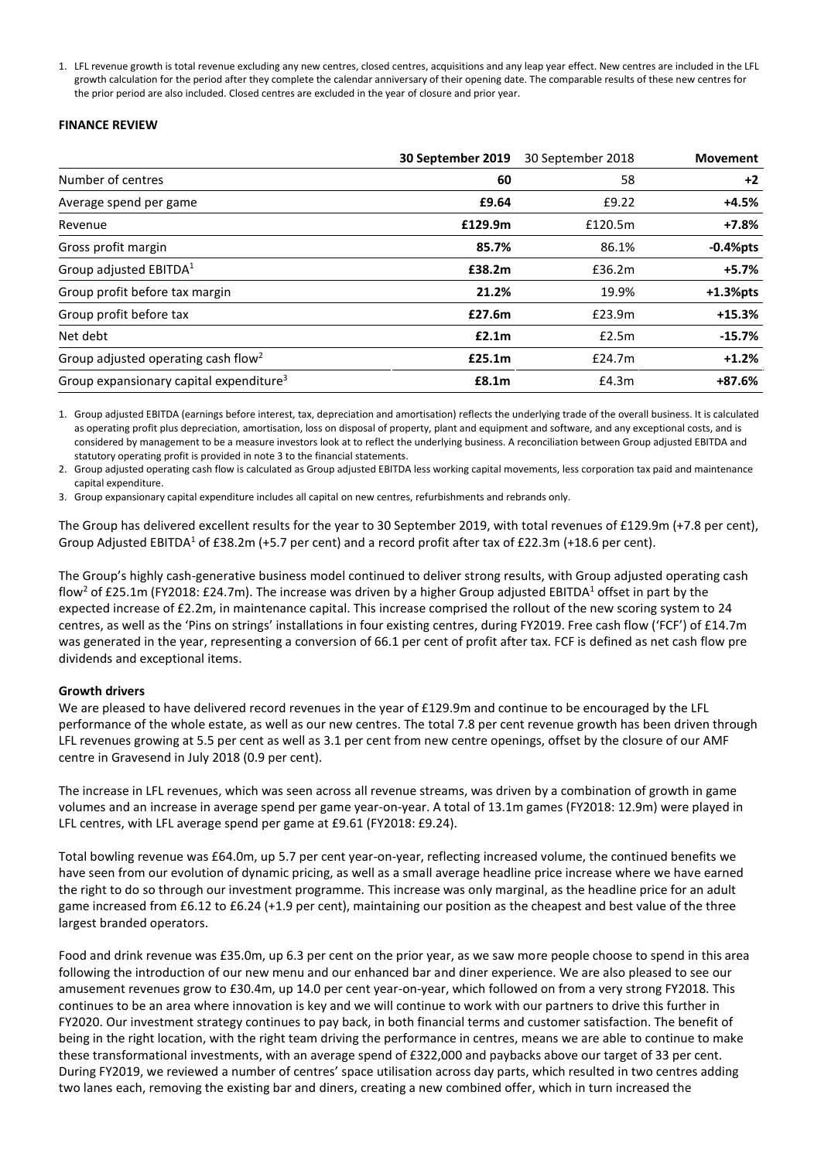1. LFL revenue growth is total revenue excluding any new centres, closed centres, acquisitions and any leap year effect. New centres are included in the LFL growth calculation for the period after they complete the calendar anniversary of their opening date. The comparable results of these new centres for the prior period are also included. Closed centres are excluded in the year of closure and prior year.

### **FINANCE REVIEW**

|                                                     | 30 September 2019 | 30 September 2018 | <b>Movement</b> |
|-----------------------------------------------------|-------------------|-------------------|-----------------|
| Number of centres                                   | 60                | 58                | $+2$            |
| Average spend per game                              | £9.64             | £9.22             | $+4.5%$         |
| Revenue                                             | £129.9m           | £120.5m           | $+7.8%$         |
| Gross profit margin                                 | 85.7%             | 86.1%             | $-0.4%$ pts     |
| Group adjusted EBITDA <sup>1</sup>                  | £38.2m            | £36.2m            | $+5.7%$         |
| Group profit before tax margin                      | 21.2%             | 19.9%             | $+1.3%$ pts     |
| Group profit before tax                             | £27.6m            | £23.9m            | $+15.3%$        |
| Net debt                                            | E2.1m             | £2.5m             | $-15.7%$        |
| Group adjusted operating cash flow <sup>2</sup>     | £25.1m            | £24.7m            | $+1.2%$         |
| Group expansionary capital expenditure <sup>3</sup> | £8.1m             | £4.3m             | +87.6%          |

1. Group adjusted EBITDA (earnings before interest, tax, depreciation and amortisation) reflects the underlying trade of the overall business. It is calculated as operating profit plus depreciation, amortisation, loss on disposal of property, plant and equipment and software, and any exceptional costs, and is considered by management to be a measure investors look at to reflect the underlying business. A reconciliation between Group adjusted EBITDA and statutory operating profit is provided in note 3 to the financial statements.

2. Group adjusted operating cash flow is calculated as Group adjusted EBITDA less working capital movements, less corporation tax paid and maintenance capital expenditure.

3. Group expansionary capital expenditure includes all capital on new centres, refurbishments and rebrands only.

The Group has delivered excellent results for the year to 30 September 2019, with total revenues of £129.9m (+7.8 per cent), Group Adjusted EBITDA<sup>1</sup> of £38.2m (+5.7 per cent) and a record profit after tax of £22.3m (+18.6 per cent).

The Group's highly cash-generative business model continued to deliver strong results, with Group adjusted operating cash flow<sup>2</sup> of £25.1m (FY2018: £24.7m). The increase was driven by a higher Group adjusted EBITDA<sup>1</sup> offset in part by the expected increase of £2.2m, in maintenance capital. This increase comprised the rollout of the new scoring system to 24 centres, as well as the 'Pins on strings' installations in four existing centres, during FY2019. Free cash flow ('FCF') of £14.7m was generated in the year, representing a conversion of 66.1 per cent of profit after tax. FCF is defined as net cash flow pre dividends and exceptional items.

# **Growth drivers**

We are pleased to have delivered record revenues in the year of £129.9m and continue to be encouraged by the LFL performance of the whole estate, as well as our new centres. The total 7.8 per cent revenue growth has been driven through LFL revenues growing at 5.5 per cent as well as 3.1 per cent from new centre openings, offset by the closure of our AMF centre in Gravesend in July 2018 (0.9 per cent).

The increase in LFL revenues, which was seen across all revenue streams, was driven by a combination of growth in game volumes and an increase in average spend per game year-on-year. A total of 13.1m games (FY2018: 12.9m) were played in LFL centres, with LFL average spend per game at £9.61 (FY2018: £9.24).

Total bowling revenue was £64.0m, up 5.7 per cent year-on-year, reflecting increased volume, the continued benefits we have seen from our evolution of dynamic pricing, as well as a small average headline price increase where we have earned the right to do so through our investment programme. This increase was only marginal, as the headline price for an adult game increased from £6.12 to £6.24 (+1.9 per cent), maintaining our position as the cheapest and best value of the three largest branded operators.

Food and drink revenue was £35.0m, up 6.3 per cent on the prior year, as we saw more people choose to spend in this area following the introduction of our new menu and our enhanced bar and diner experience. We are also pleased to see our amusement revenues grow to £30.4m, up 14.0 per cent year-on-year, which followed on from a very strong FY2018. This continues to be an area where innovation is key and we will continue to work with our partners to drive this further in FY2020. Our investment strategy continues to pay back, in both financial terms and customer satisfaction. The benefit of being in the right location, with the right team driving the performance in centres, means we are able to continue to make these transformational investments, with an average spend of £322,000 and paybacks above our target of 33 per cent. During FY2019, we reviewed a number of centres' space utilisation across day parts, which resulted in two centres adding two lanes each, removing the existing bar and diners, creating a new combined offer, which in turn increased the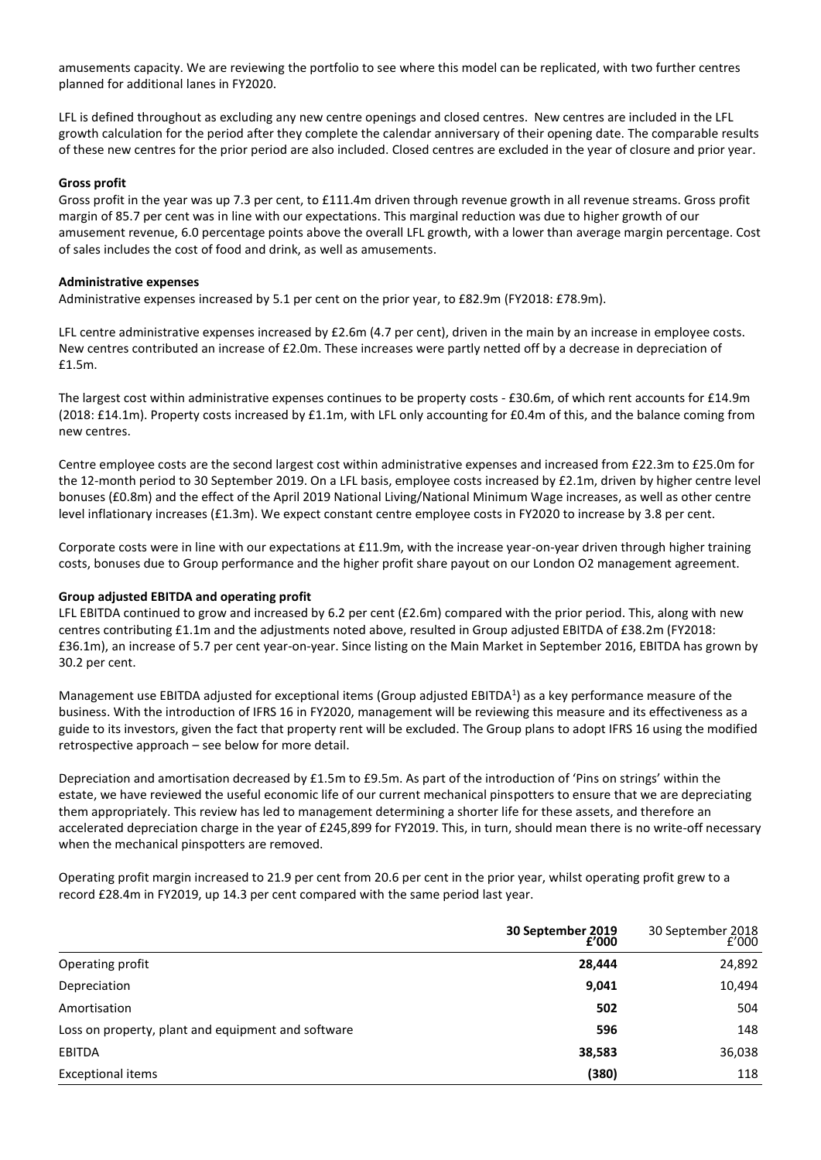amusements capacity. We are reviewing the portfolio to see where this model can be replicated, with two further centres planned for additional lanes in FY2020.

LFL is defined throughout as excluding any new centre openings and closed centres. New centres are included in the LFL growth calculation for the period after they complete the calendar anniversary of their opening date. The comparable results of these new centres for the prior period are also included. Closed centres are excluded in the year of closure and prior year.

### **Gross profit**

Gross profit in the year was up 7.3 per cent, to £111.4m driven through revenue growth in all revenue streams. Gross profit margin of 85.7 per cent was in line with our expectations. This marginal reduction was due to higher growth of our amusement revenue, 6.0 percentage points above the overall LFL growth, with a lower than average margin percentage. Cost of sales includes the cost of food and drink, as well as amusements.

### **Administrative expenses**

Administrative expenses increased by 5.1 per cent on the prior year, to £82.9m (FY2018: £78.9m).

LFL centre administrative expenses increased by £2.6m (4.7 per cent), driven in the main by an increase in employee costs. New centres contributed an increase of £2.0m. These increases were partly netted off by a decrease in depreciation of £1.5m.

The largest cost within administrative expenses continues to be property costs - £30.6m, of which rent accounts for £14.9m (2018: £14.1m). Property costs increased by £1.1m, with LFL only accounting for £0.4m of this, and the balance coming from new centres.

Centre employee costs are the second largest cost within administrative expenses and increased from £22.3m to £25.0m for the 12-month period to 30 September 2019. On a LFL basis, employee costs increased by £2.1m, driven by higher centre level bonuses (£0.8m) and the effect of the April 2019 National Living/National Minimum Wage increases, as well as other centre level inflationary increases (£1.3m). We expect constant centre employee costs in FY2020 to increase by 3.8 per cent.

Corporate costs were in line with our expectations at £11.9m, with the increase year-on-year driven through higher training costs, bonuses due to Group performance and the higher profit share payout on our London O2 management agreement.

### **Group adjusted EBITDA and operating profit**

LFL EBITDA continued to grow and increased by 6.2 per cent (£2.6m) compared with the prior period. This, along with new centres contributing £1.1m and the adjustments noted above, resulted in Group adjusted EBITDA of £38.2m (FY2018: £36.1m), an increase of 5.7 per cent year-on-year. Since listing on the Main Market in September 2016, EBITDA has grown by 30.2 per cent.

Management use EBITDA adjusted for exceptional items (Group adjusted EBITDA<sup>1</sup>) as a key performance measure of the business. With the introduction of IFRS 16 in FY2020, management will be reviewing this measure and its effectiveness as a guide to its investors, given the fact that property rent will be excluded. The Group plans to adopt IFRS 16 using the modified retrospective approach – see below for more detail.

Depreciation and amortisation decreased by £1.5m to £9.5m. As part of the introduction of 'Pins on strings' within the estate, we have reviewed the useful economic life of our current mechanical pinspotters to ensure that we are depreciating them appropriately. This review has led to management determining a shorter life for these assets, and therefore an accelerated depreciation charge in the year of £245,899 for FY2019. This, in turn, should mean there is no write-off necessary when the mechanical pinspotters are removed.

Operating profit margin increased to 21.9 per cent from 20.6 per cent in the prior year, whilst operating profit grew to a record £28.4m in FY2019, up 14.3 per cent compared with the same period last year.

|                                                    | 30 September 2019<br>$\overline{f'}$ 000 | 30 September 2018<br>2000 |
|----------------------------------------------------|------------------------------------------|---------------------------|
| Operating profit                                   | 28,444                                   | 24,892                    |
| Depreciation                                       | 9,041                                    | 10,494                    |
| Amortisation                                       | 502                                      | 504                       |
| Loss on property, plant and equipment and software | 596                                      | 148                       |
| <b>EBITDA</b>                                      | 38,583                                   | 36,038                    |
| <b>Exceptional items</b>                           | (380)                                    | 118                       |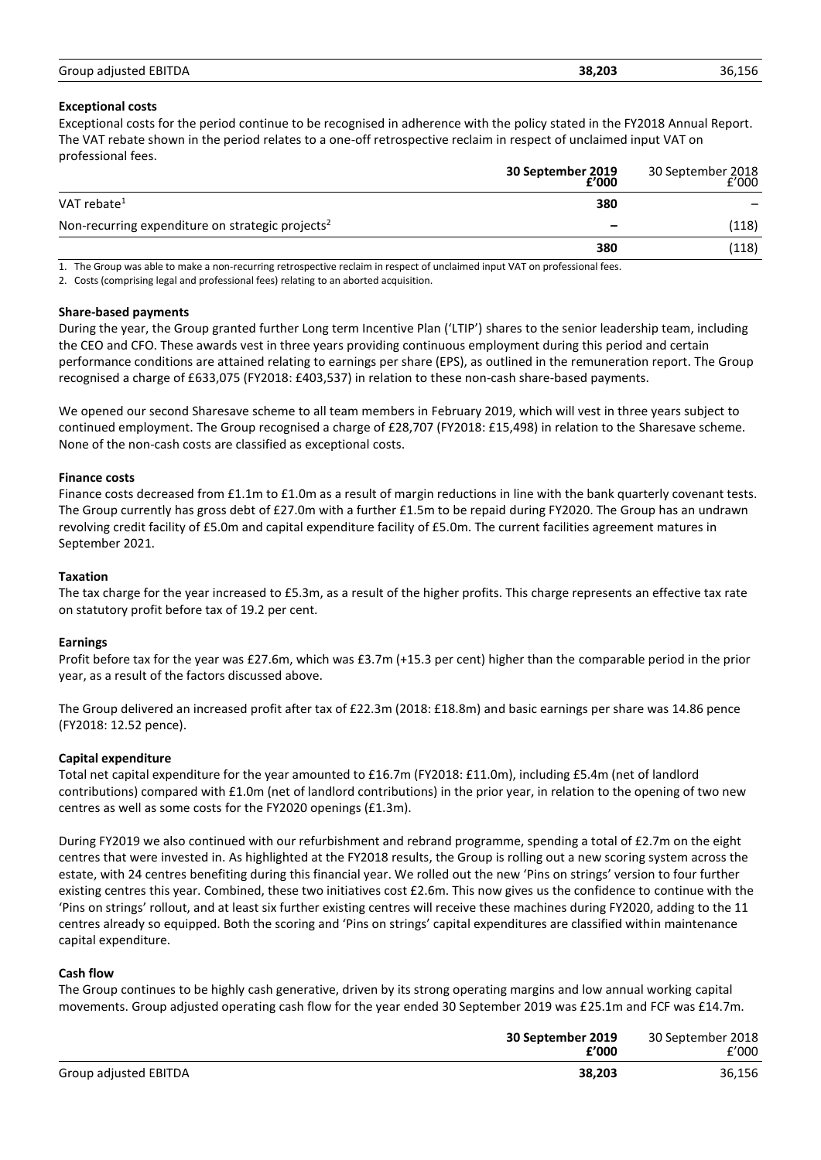| Group adjusted EBITDA | 38,203 | 36.156 |
|-----------------------|--------|--------|
|                       |        |        |

# **Exceptional costs**

Exceptional costs for the period continue to be recognised in adherence with the policy stated in the FY2018 Annual Report. The VAT rebate shown in the period relates to a one-off retrospective reclaim in respect of unclaimed input VAT on professional fees.

|                                                              | 30 September 2019<br>2000 | 30 September 2018<br>2000 |
|--------------------------------------------------------------|---------------------------|---------------------------|
| VAT rebate $1$                                               | 380                       |                           |
| Non-recurring expenditure on strategic projects <sup>2</sup> |                           | (118)                     |
|                                                              | 380                       | (118)                     |

1. The Group was able to make a non-recurring retrospective reclaim in respect of unclaimed input VAT on professional fees.

2. Costs (comprising legal and professional fees) relating to an aborted acquisition.

### **Share-based payments**

During the year, the Group granted further Long term Incentive Plan ('LTIP') shares to the senior leadership team, including the CEO and CFO. These awards vest in three years providing continuous employment during this period and certain performance conditions are attained relating to earnings per share (EPS), as outlined in the remuneration report. The Group recognised a charge of £633,075 (FY2018: £403,537) in relation to these non-cash share-based payments.

We opened our second Sharesave scheme to all team members in February 2019, which will vest in three years subject to continued employment. The Group recognised a charge of £28,707 (FY2018: £15,498) in relation to the Sharesave scheme. None of the non-cash costs are classified as exceptional costs.

# **Finance costs**

Finance costs decreased from £1.1m to £1.0m as a result of margin reductions in line with the bank quarterly covenant tests. The Group currently has gross debt of £27.0m with a further £1.5m to be repaid during FY2020. The Group has an undrawn revolving credit facility of £5.0m and capital expenditure facility of £5.0m. The current facilities agreement matures in September 2021.

### **Taxation**

The tax charge for the year increased to £5.3m, as a result of the higher profits. This charge represents an effective tax rate on statutory profit before tax of 19.2 per cent.

# **Earnings**

Profit before tax for the year was £27.6m, which was £3.7m (+15.3 per cent) higher than the comparable period in the prior year, as a result of the factors discussed above.

The Group delivered an increased profit after tax of £22.3m (2018: £18.8m) and basic earnings per share was 14.86 pence (FY2018: 12.52 pence).

# **Capital expenditure**

Total net capital expenditure for the year amounted to £16.7m (FY2018: £11.0m), including £5.4m (net of landlord contributions) compared with £1.0m (net of landlord contributions) in the prior year, in relation to the opening of two new centres as well as some costs for the FY2020 openings (£1.3m).

During FY2019 we also continued with our refurbishment and rebrand programme, spending a total of £2.7m on the eight centres that were invested in. As highlighted at the FY2018 results, the Group is rolling out a new scoring system across the estate, with 24 centres benefiting during this financial year. We rolled out the new 'Pins on strings' version to four further existing centres this year. Combined, these two initiatives cost £2.6m. This now gives us the confidence to continue with the 'Pins on strings' rollout, and at least six further existing centres will receive these machines during FY2020, adding to the 11 centres already so equipped. Both the scoring and 'Pins on strings' capital expenditures are classified within maintenance capital expenditure.

### **Cash flow**

The Group continues to be highly cash generative, driven by its strong operating margins and low annual working capital movements. Group adjusted operating cash flow for the year ended 30 September 2019 was £25.1m and FCF was £14.7m.

|                       | 30 September 2019<br>£'000 | 30 September 2018<br>f'000 |
|-----------------------|----------------------------|----------------------------|
| Group adjusted EBITDA | 38.203                     | 36,156                     |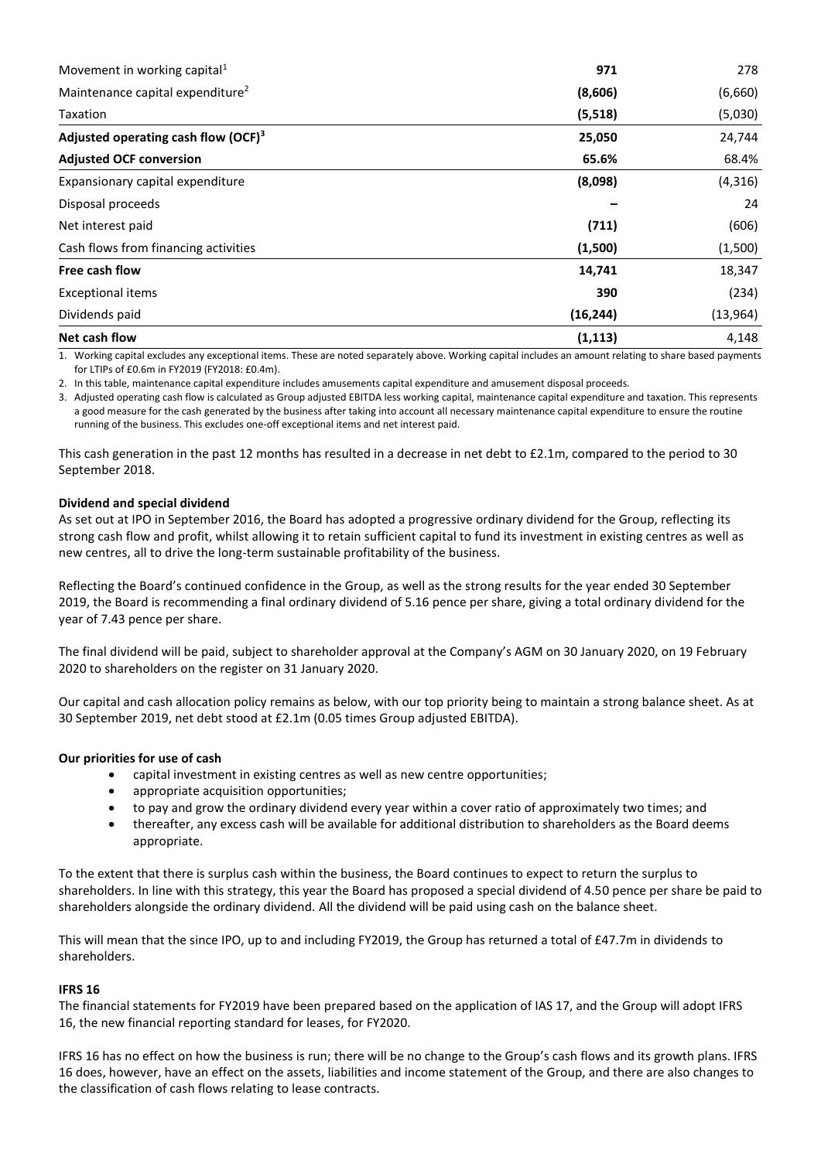| Movement in working capital <sup>1</sup>     | 971       | 278       |
|----------------------------------------------|-----------|-----------|
| Maintenance capital expenditure <sup>2</sup> | (8,606)   | (6,660)   |
| Taxation                                     | (5, 518)  | (5,030)   |
| Adjusted operating cash flow $(OCF)^3$       | 25,050    | 24,744    |
| <b>Adjusted OCF conversion</b>               | 65.6%     | 68.4%     |
| Expansionary capital expenditure             | (8,098)   | (4,316)   |
| Disposal proceeds                            |           | 24        |
| Net interest paid                            | (711)     | (606)     |
| Cash flows from financing activities         | (1,500)   | (1,500)   |
| Free cash flow                               | 14,741    | 18,347    |
| <b>Exceptional items</b>                     | 390       | (234)     |
| Dividends paid                               | (16, 244) | (13, 964) |
| Net cash flow                                | (1, 113)  | 4,148     |

1. Working capital excludes any exceptional items. These are noted separately above. Working capital includes an amount relating to share based payments for LTIPs of £0.6m in FY2019 (FY2018: £0.4m).

2. In this table, maintenance capital expenditure includes amusements capital expenditure and amusement disposal proceeds.

3. Adjusted operating cash flow is calculated as Group adjusted EBITDA less working capital, maintenance capital expenditure and taxation. This represents a good measure for the cash generated by the business after taking into account all necessary maintenance capital expenditure to ensure the routine running of the business. This excludes one-off exceptional items and net interest paid.

This cash generation in the past 12 months has resulted in a decrease in net debt to £2.1m, compared to the period to 30 September 2018.

### **Dividend and special dividend**

As set out at IPO in September 2016, the Board has adopted a progressive ordinary dividend for the Group, reflecting its strong cash flow and profit, whilst allowing it to retain sufficient capital to fund its investment in existing centres as well as new centres, all to drive the long-term sustainable profitability of the business.

Reflecting the Board's continued confidence in the Group, as well as the strong results for the year ended 30 September 2019, the Board is recommending a final ordinary dividend of 5.16 pence per share, giving a total ordinary dividend for the year of 7.43 pence per share.

The final dividend will be paid, subject to shareholder approval at the Company's AGM on 30 January 2020, on 19 February 2020 to shareholders on the register on 31 January 2020.

Our capital and cash allocation policy remains as below, with our top priority being to maintain a strong balance sheet. As at 30 September 2019, net debt stood at £2.1m (0.05 times Group adjusted EBITDA).

# **Our priorities for use of cash**

- capital investment in existing centres as well as new centre opportunities;
- appropriate acquisition opportunities;
- to pay and grow the ordinary dividend every year within a cover ratio of approximately two times; and
- thereafter, any excess cash will be available for additional distribution to shareholders as the Board deems appropriate.

To the extent that there is surplus cash within the business, the Board continues to expect to return the surplus to shareholders. In line with this strategy, this year the Board has proposed a special dividend of 4.50 pence per share be paid to shareholders alongside the ordinary dividend. All the dividend will be paid using cash on the balance sheet.

This will mean that the since IPO, up to and including FY2019, the Group has returned a total of £47.7m in dividends to shareholders.

### **IFRS 16**

The financial statements for FY2019 have been prepared based on the application of IAS 17, and the Group will adopt IFRS 16, the new financial reporting standard for leases, for FY2020.

IFRS 16 has no effect on how the business is run; there will be no change to the Group's cash flows and its growth plans. IFRS 16 does, however, have an effect on the assets, liabilities and income statement of the Group, and there are also changes to the classification of cash flows relating to lease contracts.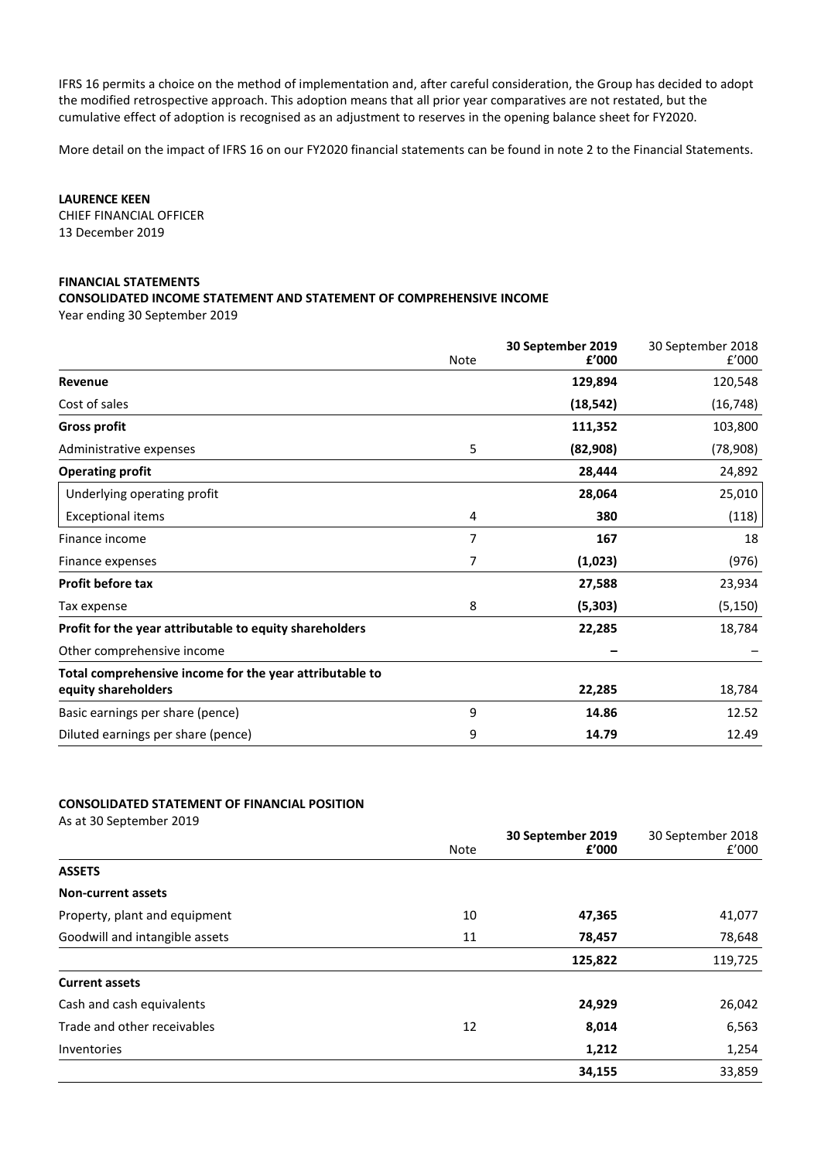IFRS 16 permits a choice on the method of implementation and, after careful consideration, the Group has decided to adopt the modified retrospective approach. This adoption means that all prior year comparatives are not restated, but the cumulative effect of adoption is recognised as an adjustment to reserves in the opening balance sheet for FY2020.

More detail on the impact of IFRS 16 on our FY2020 financial statements can be found in note 2 to the Financial Statements.

**LAURENCE KEEN**

CHIEF FINANCIAL OFFICER 13 December 2019

### **FINANCIAL STATEMENTS**

### **CONSOLIDATED INCOME STATEMENT AND STATEMENT OF COMPREHENSIVE INCOME**

Year ending 30 September 2019

|                                                         | <b>Note</b> | 30 September 2019<br>£'000 | 30 September 2018<br>f'000 |
|---------------------------------------------------------|-------------|----------------------------|----------------------------|
| Revenue                                                 |             | 129,894                    | 120,548                    |
| Cost of sales                                           |             | (18, 542)                  | (16, 748)                  |
| <b>Gross profit</b>                                     |             | 111,352                    | 103,800                    |
| Administrative expenses                                 | 5           | (82,908)                   | (78,908)                   |
| <b>Operating profit</b>                                 |             | 28,444                     | 24,892                     |
| Underlying operating profit                             |             | 28,064                     | 25,010                     |
| <b>Exceptional items</b>                                | 4           | 380                        | (118)                      |
| Finance income                                          | 7           | 167                        | 18                         |
| Finance expenses                                        | 7           | (1,023)                    | (976)                      |
| <b>Profit before tax</b>                                |             | 27,588                     | 23,934                     |
| Tax expense                                             | 8           | (5,303)                    | (5, 150)                   |
| Profit for the year attributable to equity shareholders |             | 22,285                     | 18,784                     |
| Other comprehensive income                              |             |                            |                            |
| Total comprehensive income for the year attributable to |             |                            |                            |
| equity shareholders                                     |             | 22,285                     | 18,784                     |
| Basic earnings per share (pence)                        | 9           | 14.86                      | 12.52                      |
| Diluted earnings per share (pence)                      | 9           | 14.79                      | 12.49                      |

### **CONSOLIDATED STATEMENT OF FINANCIAL POSITION**

| As at 30 September 2019        |             |                            |                            |
|--------------------------------|-------------|----------------------------|----------------------------|
|                                | <b>Note</b> | 30 September 2019<br>f'000 | 30 September 2018<br>f'000 |
| <b>ASSETS</b>                  |             |                            |                            |
| <b>Non-current assets</b>      |             |                            |                            |
| Property, plant and equipment  | 10          | 47,365                     | 41,077                     |
| Goodwill and intangible assets | 11          | 78,457                     | 78,648                     |
|                                |             | 125,822                    | 119,725                    |
| <b>Current assets</b>          |             |                            |                            |
| Cash and cash equivalents      |             | 24,929                     | 26,042                     |
| Trade and other receivables    | 12          | 8,014                      | 6,563                      |
| Inventories                    |             | 1,212                      | 1,254                      |
|                                |             | 34,155                     | 33,859                     |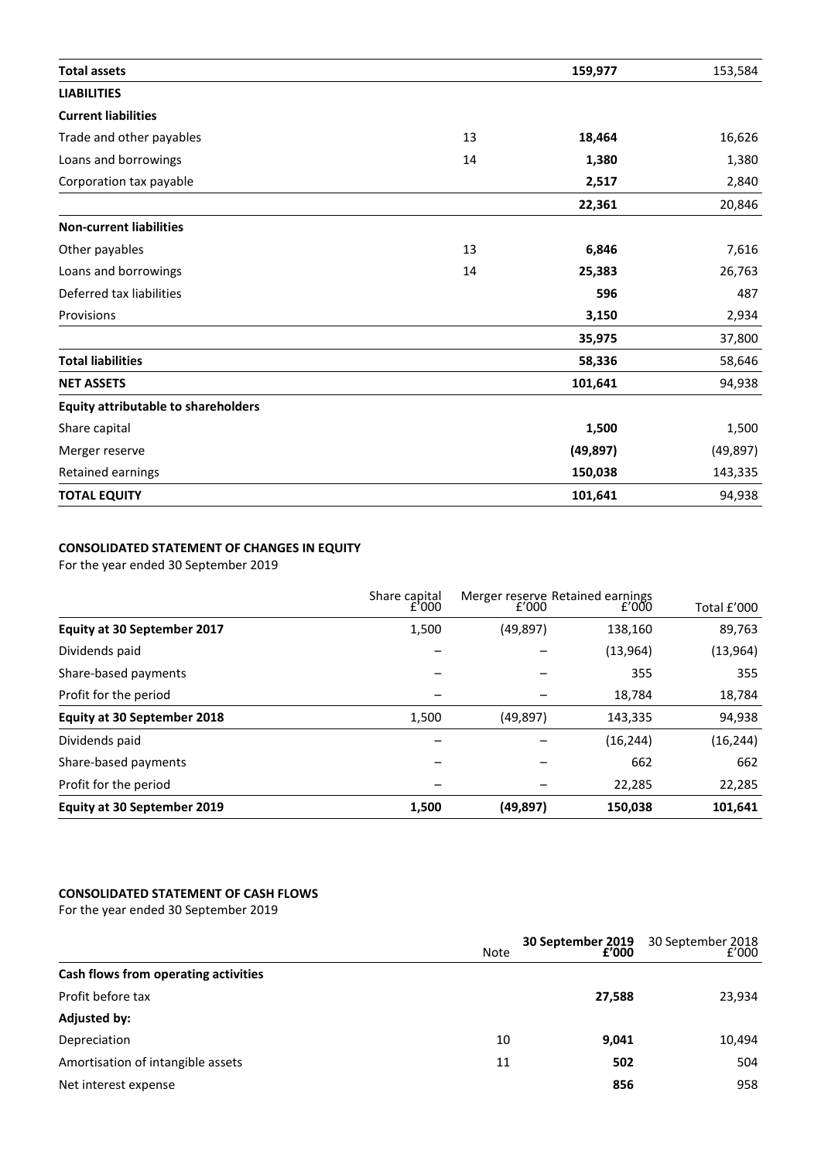| <b>Total assets</b>                        |    | 159,977   | 153,584   |
|--------------------------------------------|----|-----------|-----------|
| <b>LIABILITIES</b>                         |    |           |           |
| <b>Current liabilities</b>                 |    |           |           |
| Trade and other payables                   | 13 | 18,464    | 16,626    |
| Loans and borrowings                       | 14 | 1,380     | 1,380     |
| Corporation tax payable                    |    | 2,517     | 2,840     |
|                                            |    | 22,361    | 20,846    |
| <b>Non-current liabilities</b>             |    |           |           |
| Other payables                             | 13 | 6,846     | 7,616     |
| Loans and borrowings                       | 14 | 25,383    | 26,763    |
| Deferred tax liabilities                   |    | 596       | 487       |
| Provisions                                 |    | 3,150     | 2,934     |
|                                            |    | 35,975    | 37,800    |
| <b>Total liabilities</b>                   |    | 58,336    | 58,646    |
| <b>NET ASSETS</b>                          |    | 101,641   | 94,938    |
| <b>Equity attributable to shareholders</b> |    |           |           |
| Share capital                              |    | 1,500     | 1,500     |
| Merger reserve                             |    | (49, 897) | (49, 897) |
| Retained earnings                          |    | 150,038   | 143,335   |
| <b>TOTAL EQUITY</b>                        |    | 101,641   | 94,938    |

# **CONSOLIDATED STATEMENT OF CHANGES IN EQUITY**

For the year ended 30 September 2019

|                                    | Share capital<br>f'000 | f'000     | Merger reserve Retained earnings<br>f'000 | Total £'000 |
|------------------------------------|------------------------|-----------|-------------------------------------------|-------------|
| <b>Equity at 30 September 2017</b> | 1,500                  | (49, 897) | 138,160                                   | 89,763      |
| Dividends paid                     |                        |           | (13, 964)                                 | (13,964)    |
| Share-based payments               | -                      |           | 355                                       | 355         |
| Profit for the period              |                        |           | 18.784                                    | 18,784      |
| <b>Equity at 30 September 2018</b> | 1,500                  | (49, 897) | 143,335                                   | 94,938      |
| Dividends paid                     | -                      |           | (16, 244)                                 | (16, 244)   |
| Share-based payments               |                        |           | 662                                       | 662         |
| Profit for the period              |                        |           | 22.285                                    | 22,285      |
| <b>Equity at 30 September 2019</b> | 1,500                  | (49, 897) | 150,038                                   | 101,641     |

# **CONSOLIDATED STATEMENT OF CASH FLOWS**

For the year ended 30 September 2019

| Note                                    | 30 September 2019<br>f'000 | 30 September 2018<br>f'000 |
|-----------------------------------------|----------------------------|----------------------------|
| Cash flows from operating activities    |                            |                            |
| Profit before tax                       | 27,588                     | 23,934                     |
| <b>Adjusted by:</b>                     |                            |                            |
| Depreciation<br>10                      | 9,041                      | 10,494                     |
| Amortisation of intangible assets<br>11 | 502                        | 504                        |
| Net interest expense                    | 856                        | 958                        |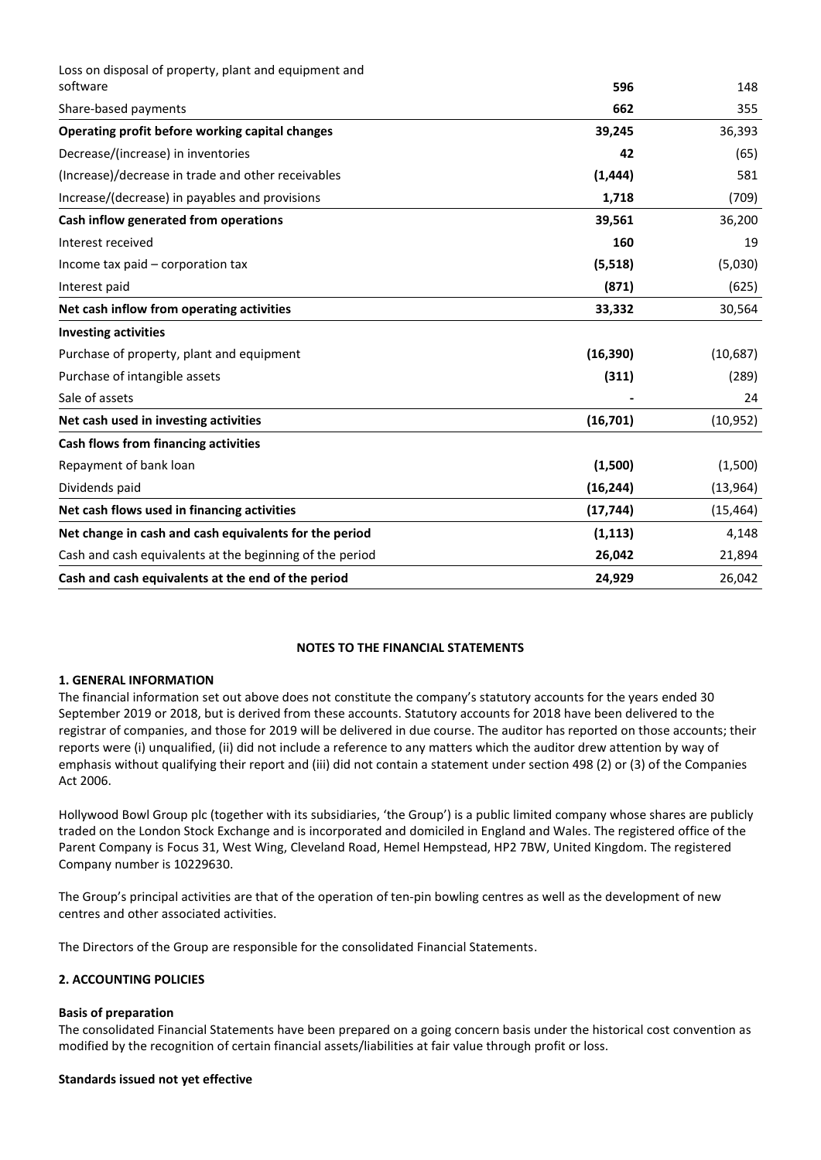| Loss on disposal of property, plant and equipment and    |           |           |
|----------------------------------------------------------|-----------|-----------|
| software                                                 | 596       | 148       |
| Share-based payments                                     | 662       | 355       |
| Operating profit before working capital changes          | 39,245    | 36,393    |
| Decrease/(increase) in inventories                       | 42        | (65)      |
| (Increase)/decrease in trade and other receivables       | (1, 444)  | 581       |
| Increase/(decrease) in payables and provisions           | 1,718     | (709)     |
| Cash inflow generated from operations                    | 39,561    | 36,200    |
| Interest received                                        | 160       | 19        |
| Income tax paid – corporation tax                        | (5, 518)  | (5,030)   |
| Interest paid                                            | (871)     | (625)     |
| Net cash inflow from operating activities                | 33,332    | 30,564    |
| <b>Investing activities</b>                              |           |           |
| Purchase of property, plant and equipment                | (16, 390) | (10,687)  |
| Purchase of intangible assets                            | (311)     | (289)     |
| Sale of assets                                           |           | 24        |
| Net cash used in investing activities                    | (16, 701) | (10, 952) |
| Cash flows from financing activities                     |           |           |
| Repayment of bank loan                                   | (1,500)   | (1,500)   |
| Dividends paid                                           | (16, 244) | (13, 964) |
| Net cash flows used in financing activities              | (17, 744) | (15, 464) |
| Net change in cash and cash equivalents for the period   | (1, 113)  | 4,148     |
| Cash and cash equivalents at the beginning of the period | 26,042    | 21,894    |
| Cash and cash equivalents at the end of the period       | 24,929    | 26,042    |

# **NOTES TO THE FINANCIAL STATEMENTS**

# **1. GENERAL INFORMATION**

The financial information set out above does not constitute the company's statutory accounts for the years ended 30 September 2019 or 2018, but is derived from these accounts. Statutory accounts for 2018 have been delivered to the registrar of companies, and those for 2019 will be delivered in due course. The auditor has reported on those accounts; their reports were (i) unqualified, (ii) did not include a reference to any matters which the auditor drew attention by way of emphasis without qualifying their report and (iii) did not contain a statement under section 498 (2) or (3) of the Companies Act 2006.

Hollywood Bowl Group plc (together with its subsidiaries, 'the Group') is a public limited company whose shares are publicly traded on the London Stock Exchange and is incorporated and domiciled in England and Wales. The registered office of the Parent Company is Focus 31, West Wing, Cleveland Road, Hemel Hempstead, HP2 7BW, United Kingdom. The registered Company number is 10229630.

The Group's principal activities are that of the operation of ten-pin bowling centres as well as the development of new centres and other associated activities.

The Directors of the Group are responsible for the consolidated Financial Statements.

# **2. ACCOUNTING POLICIES**

# **Basis of preparation**

The consolidated Financial Statements have been prepared on a going concern basis under the historical cost convention as modified by the recognition of certain financial assets/liabilities at fair value through profit or loss.

### **Standards issued not yet effective**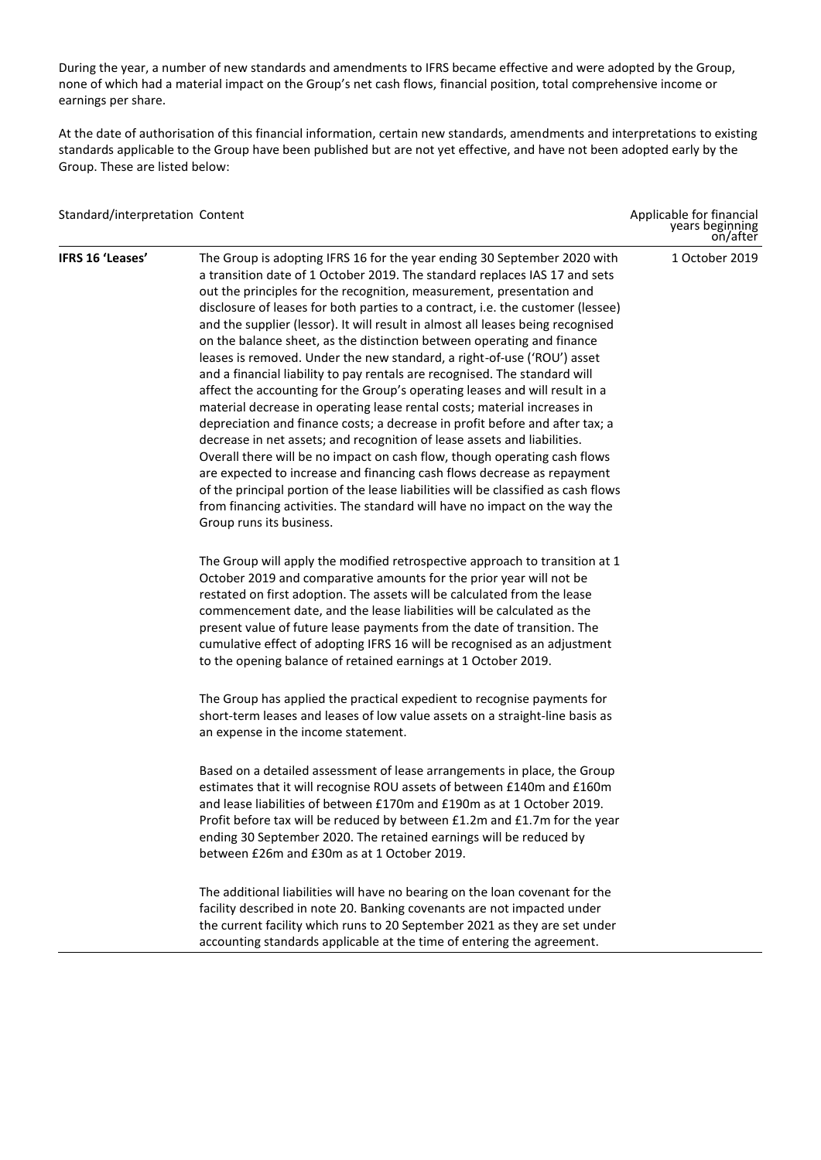During the year, a number of new standards and amendments to IFRS became effective and were adopted by the Group, none of which had a material impact on the Group's net cash flows, financial position, total comprehensive income or earnings per share.

At the date of authorisation of this financial information, certain new standards, amendments and interpretations to existing standards applicable to the Group have been published but are not yet effective, and have not been adopted early by the Group. These are listed below:

| Standard/interpretation Content |                                                                                                                                                                                                                                                                                                                                                                                                                                                                                                                                                                                                                                                                                                                                                                                                                                                                                                                                                                                                                                                                                                                                                                                                                                                                                                                         | Applicable for financial<br>years beginning<br>on/after |
|---------------------------------|-------------------------------------------------------------------------------------------------------------------------------------------------------------------------------------------------------------------------------------------------------------------------------------------------------------------------------------------------------------------------------------------------------------------------------------------------------------------------------------------------------------------------------------------------------------------------------------------------------------------------------------------------------------------------------------------------------------------------------------------------------------------------------------------------------------------------------------------------------------------------------------------------------------------------------------------------------------------------------------------------------------------------------------------------------------------------------------------------------------------------------------------------------------------------------------------------------------------------------------------------------------------------------------------------------------------------|---------------------------------------------------------|
| IFRS 16 'Leases'                | The Group is adopting IFRS 16 for the year ending 30 September 2020 with<br>a transition date of 1 October 2019. The standard replaces IAS 17 and sets<br>out the principles for the recognition, measurement, presentation and<br>disclosure of leases for both parties to a contract, i.e. the customer (lessee)<br>and the supplier (lessor). It will result in almost all leases being recognised<br>on the balance sheet, as the distinction between operating and finance<br>leases is removed. Under the new standard, a right-of-use ('ROU') asset<br>and a financial liability to pay rentals are recognised. The standard will<br>affect the accounting for the Group's operating leases and will result in a<br>material decrease in operating lease rental costs; material increases in<br>depreciation and finance costs; a decrease in profit before and after tax; a<br>decrease in net assets; and recognition of lease assets and liabilities.<br>Overall there will be no impact on cash flow, though operating cash flows<br>are expected to increase and financing cash flows decrease as repayment<br>of the principal portion of the lease liabilities will be classified as cash flows<br>from financing activities. The standard will have no impact on the way the<br>Group runs its business. | 1 October 2019                                          |
|                                 | The Group will apply the modified retrospective approach to transition at 1<br>October 2019 and comparative amounts for the prior year will not be<br>restated on first adoption. The assets will be calculated from the lease<br>commencement date, and the lease liabilities will be calculated as the<br>present value of future lease payments from the date of transition. The<br>cumulative effect of adopting IFRS 16 will be recognised as an adjustment<br>to the opening balance of retained earnings at 1 October 2019.                                                                                                                                                                                                                                                                                                                                                                                                                                                                                                                                                                                                                                                                                                                                                                                      |                                                         |
|                                 | The Group has applied the practical expedient to recognise payments for<br>short-term leases and leases of low value assets on a straight-line basis as<br>an expense in the income statement.                                                                                                                                                                                                                                                                                                                                                                                                                                                                                                                                                                                                                                                                                                                                                                                                                                                                                                                                                                                                                                                                                                                          |                                                         |
|                                 | Based on a detailed assessment of lease arrangements in place, the Group<br>estimates that it will recognise ROU assets of between £140m and £160m<br>and lease liabilities of between £170m and £190m as at 1 October 2019.<br>Profit before tax will be reduced by between £1.2m and £1.7m for the year<br>ending 30 September 2020. The retained earnings will be reduced by<br>between £26m and £30m as at 1 October 2019.                                                                                                                                                                                                                                                                                                                                                                                                                                                                                                                                                                                                                                                                                                                                                                                                                                                                                          |                                                         |
|                                 | The additional liabilities will have no bearing on the loan covenant for the<br>facility described in note 20. Banking covenants are not impacted under<br>the current facility which runs to 20 September 2021 as they are set under<br>accounting standards applicable at the time of entering the agreement.                                                                                                                                                                                                                                                                                                                                                                                                                                                                                                                                                                                                                                                                                                                                                                                                                                                                                                                                                                                                         |                                                         |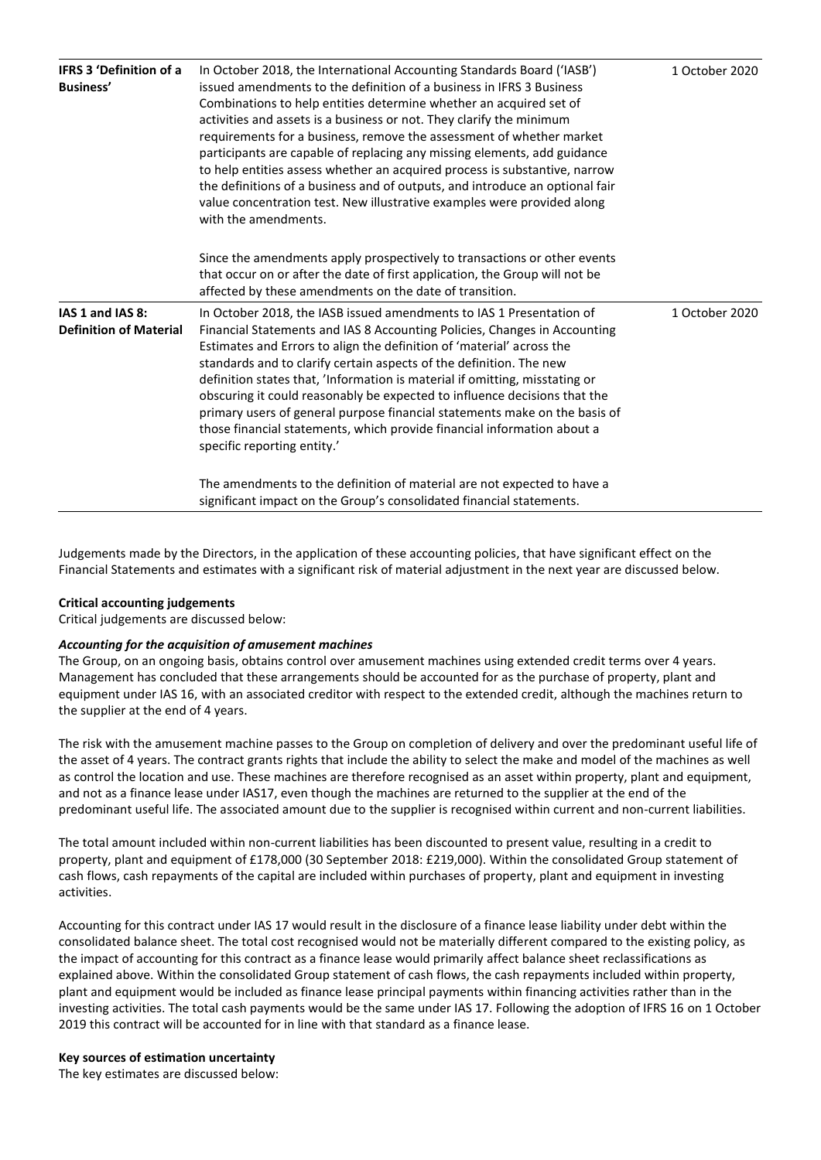| <b>IFRS 3 'Definition of a</b><br>Business'       | In October 2018, the International Accounting Standards Board ('IASB')<br>issued amendments to the definition of a business in IFRS 3 Business<br>Combinations to help entities determine whether an acquired set of<br>activities and assets is a business or not. They clarify the minimum<br>requirements for a business, remove the assessment of whether market<br>participants are capable of replacing any missing elements, add guidance<br>to help entities assess whether an acquired process is substantive, narrow<br>the definitions of a business and of outputs, and introduce an optional fair<br>value concentration test. New illustrative examples were provided along<br>with the amendments. | 1 October 2020 |
|---------------------------------------------------|-------------------------------------------------------------------------------------------------------------------------------------------------------------------------------------------------------------------------------------------------------------------------------------------------------------------------------------------------------------------------------------------------------------------------------------------------------------------------------------------------------------------------------------------------------------------------------------------------------------------------------------------------------------------------------------------------------------------|----------------|
|                                                   | Since the amendments apply prospectively to transactions or other events<br>that occur on or after the date of first application, the Group will not be<br>affected by these amendments on the date of transition.                                                                                                                                                                                                                                                                                                                                                                                                                                                                                                |                |
| IAS 1 and IAS 8:<br><b>Definition of Material</b> | In October 2018, the IASB issued amendments to IAS 1 Presentation of<br>Financial Statements and IAS 8 Accounting Policies, Changes in Accounting<br>Estimates and Errors to align the definition of 'material' across the<br>standards and to clarify certain aspects of the definition. The new<br>definition states that, 'Information is material if omitting, misstating or<br>obscuring it could reasonably be expected to influence decisions that the<br>primary users of general purpose financial statements make on the basis of<br>those financial statements, which provide financial information about a<br>specific reporting entity.'                                                             | 1 October 2020 |
|                                                   | The amendments to the definition of material are not expected to have a<br>significant impact on the Group's consolidated financial statements.                                                                                                                                                                                                                                                                                                                                                                                                                                                                                                                                                                   |                |

Judgements made by the Directors, in the application of these accounting policies, that have significant effect on the Financial Statements and estimates with a significant risk of material adjustment in the next year are discussed below.

### **Critical accounting judgements**

Critical judgements are discussed below:

#### *Accounting for the acquisition of amusement machines*

The Group, on an ongoing basis, obtains control over amusement machines using extended credit terms over 4 years. Management has concluded that these arrangements should be accounted for as the purchase of property, plant and equipment under IAS 16, with an associated creditor with respect to the extended credit, although the machines return to the supplier at the end of 4 years.

The risk with the amusement machine passes to the Group on completion of delivery and over the predominant useful life of the asset of 4 years. The contract grants rights that include the ability to select the make and model of the machines as well as control the location and use. These machines are therefore recognised as an asset within property, plant and equipment, and not as a finance lease under IAS17, even though the machines are returned to the supplier at the end of the predominant useful life. The associated amount due to the supplier is recognised within current and non-current liabilities.

The total amount included within non-current liabilities has been discounted to present value, resulting in a credit to property, plant and equipment of £178,000 (30 September 2018: £219,000). Within the consolidated Group statement of cash flows, cash repayments of the capital are included within purchases of property, plant and equipment in investing activities.

Accounting for this contract under IAS 17 would result in the disclosure of a finance lease liability under debt within the consolidated balance sheet. The total cost recognised would not be materially different compared to the existing policy, as the impact of accounting for this contract as a finance lease would primarily affect balance sheet reclassifications as explained above. Within the consolidated Group statement of cash flows, the cash repayments included within property, plant and equipment would be included as finance lease principal payments within financing activities rather than in the investing activities. The total cash payments would be the same under IAS 17. Following the adoption of IFRS 16 on 1 October 2019 this contract will be accounted for in line with that standard as a finance lease.

#### **Key sources of estimation uncertainty**

The key estimates are discussed below: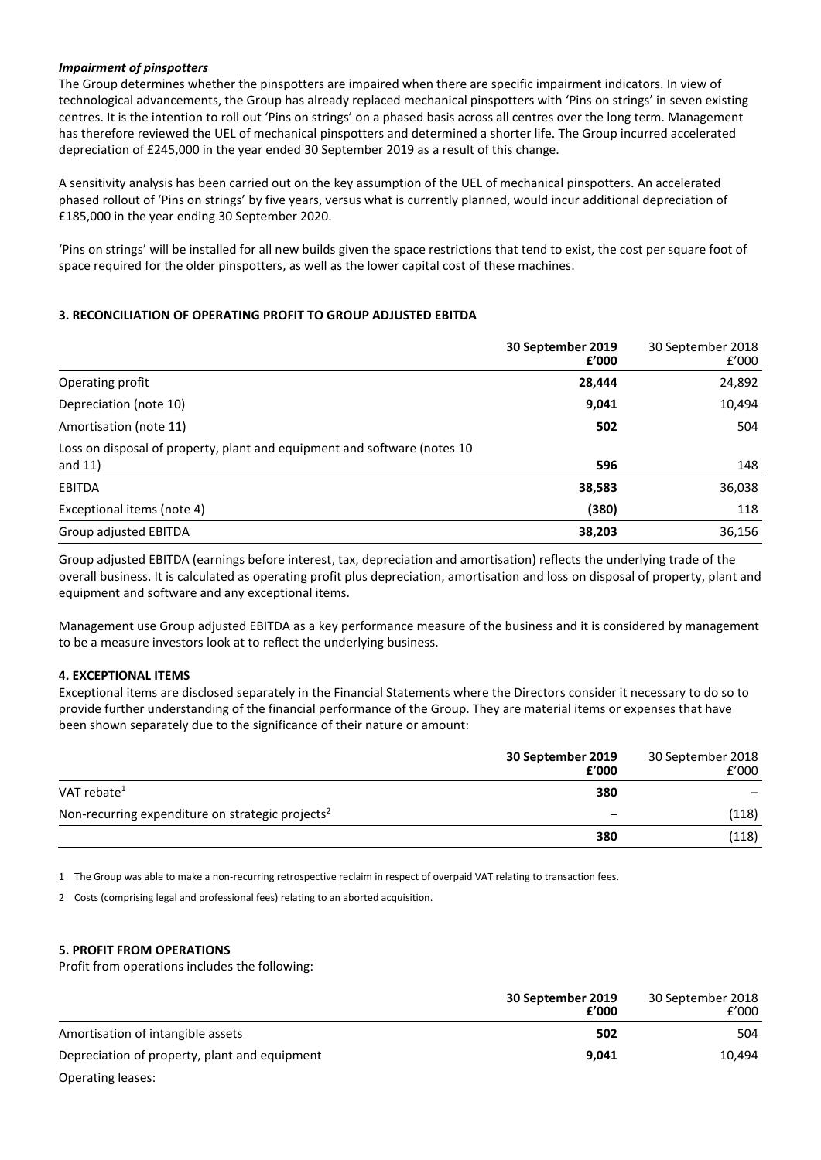# *Impairment of pinspotters*

The Group determines whether the pinspotters are impaired when there are specific impairment indicators. In view of technological advancements, the Group has already replaced mechanical pinspotters with 'Pins on strings' in seven existing centres. It is the intention to roll out 'Pins on strings' on a phased basis across all centres over the long term. Management has therefore reviewed the UEL of mechanical pinspotters and determined a shorter life. The Group incurred accelerated depreciation of £245,000 in the year ended 30 September 2019 as a result of this change.

A sensitivity analysis has been carried out on the key assumption of the UEL of mechanical pinspotters. An accelerated phased rollout of 'Pins on strings' by five years, versus what is currently planned, would incur additional depreciation of £185,000 in the year ending 30 September 2020.

'Pins on strings' will be installed for all new builds given the space restrictions that tend to exist, the cost per square foot of space required for the older pinspotters, as well as the lower capital cost of these machines.

# **3. RECONCILIATION OF OPERATING PROFIT TO GROUP ADJUSTED EBITDA**

|                                                                                        | 30 September 2019<br>f'000 | 30 September 2018<br>f'000 |
|----------------------------------------------------------------------------------------|----------------------------|----------------------------|
| Operating profit                                                                       | 28,444                     | 24,892                     |
| Depreciation (note 10)                                                                 | 9,041                      | 10,494                     |
| Amortisation (note 11)                                                                 | 502                        | 504                        |
| Loss on disposal of property, plant and equipment and software (notes 10)<br>and $11)$ | 596                        | 148                        |
| <b>EBITDA</b>                                                                          | 38,583                     | 36,038                     |
| Exceptional items (note 4)                                                             | (380)                      | 118                        |
| Group adjusted EBITDA                                                                  | 38,203                     | 36,156                     |

Group adjusted EBITDA (earnings before interest, tax, depreciation and amortisation) reflects the underlying trade of the overall business. It is calculated as operating profit plus depreciation, amortisation and loss on disposal of property, plant and equipment and software and any exceptional items.

Management use Group adjusted EBITDA as a key performance measure of the business and it is considered by management to be a measure investors look at to reflect the underlying business.

# **4. EXCEPTIONAL ITEMS**

Exceptional items are disclosed separately in the Financial Statements where the Directors consider it necessary to do so to provide further understanding of the financial performance of the Group. They are material items or expenses that have been shown separately due to the significance of their nature or amount:

|                                                              | 30 September 2019<br>f'000 | 30 September 2018<br>f'000 |
|--------------------------------------------------------------|----------------------------|----------------------------|
| VAT rebate $1$                                               | 380                        |                            |
| Non-recurring expenditure on strategic projects <sup>2</sup> | -                          | (118)                      |
|                                                              | 380                        | (118)                      |

1 The Group was able to make a non-recurring retrospective reclaim in respect of overpaid VAT relating to transaction fees.

2 Costs (comprising legal and professional fees) relating to an aborted acquisition.

# **5. PROFIT FROM OPERATIONS**

Profit from operations includes the following:

|                                               | 30 September 2019<br>£'000 | 30 September 2018<br>f'000 |
|-----------------------------------------------|----------------------------|----------------------------|
| Amortisation of intangible assets             | 502                        | 504                        |
| Depreciation of property, plant and equipment | 9.041                      | 10.494                     |
| Operating leases:                             |                            |                            |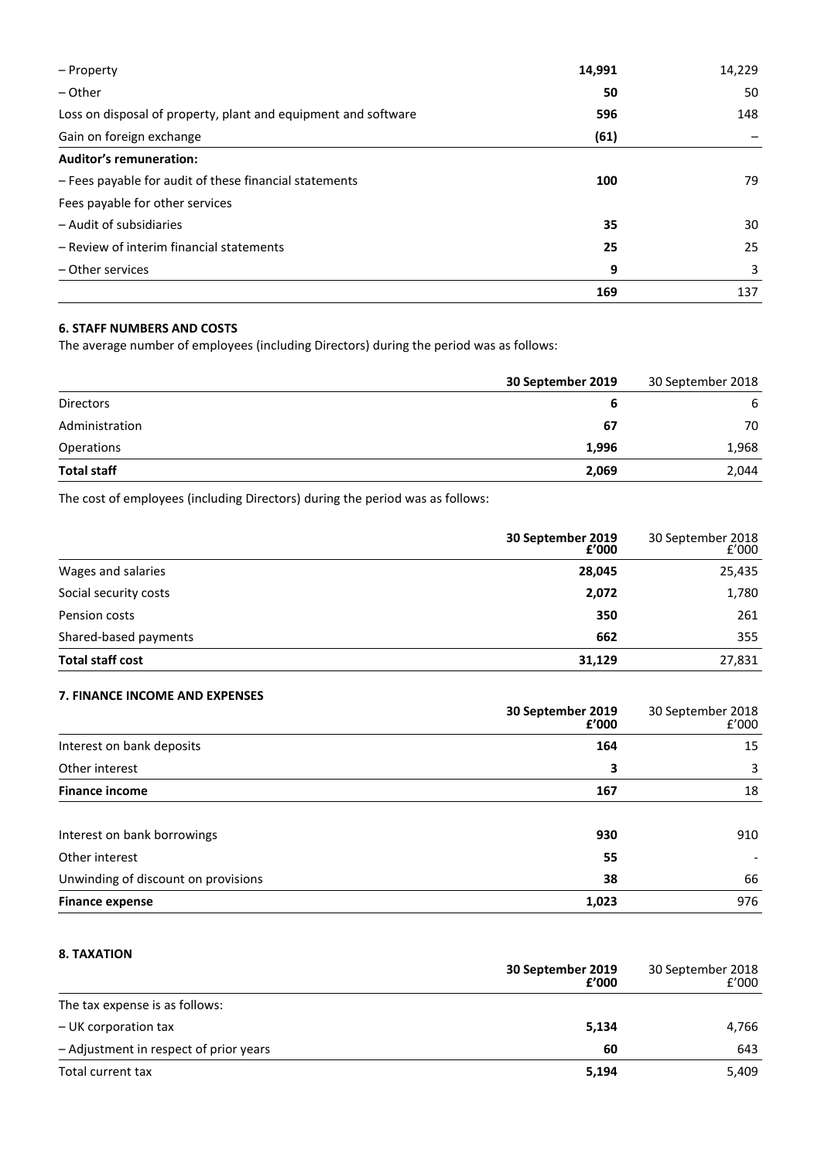| – Property                                                     | 14,991 | 14,229 |
|----------------------------------------------------------------|--------|--------|
| $-$ Other                                                      | 50     | 50     |
| Loss on disposal of property, plant and equipment and software | 596    | 148    |
| Gain on foreign exchange                                       | (61)   |        |
| <b>Auditor's remuneration:</b>                                 |        |        |
| - Fees payable for audit of these financial statements         | 100    | 79     |
| Fees payable for other services                                |        |        |
| - Audit of subsidiaries                                        | 35     | 30     |
| - Review of interim financial statements                       | 25     | 25     |
| - Other services                                               | 9      | 3      |
|                                                                | 169    | 137    |

# **6. STAFF NUMBERS AND COSTS**

The average number of employees (including Directors) during the period was as follows:

|                    | 30 September 2019 | 30 September 2018 |
|--------------------|-------------------|-------------------|
| Directors          |                   | 6                 |
| Administration     | 67                | 70                |
| Operations         | 1,996             | 1,968             |
| <b>Total staff</b> | 2,069             | 2,044             |
|                    |                   |                   |

The cost of employees (including Directors) during the period was as follows:

|                         | 30 September 2019<br>2000:4 | 30 September 2018<br>2000:1 |
|-------------------------|-----------------------------|-----------------------------|
| Wages and salaries      | 28,045                      | 25,435                      |
| Social security costs   | 2,072                       | 1,780                       |
| Pension costs           | 350                         | 261                         |
| Shared-based payments   | 662                         | 355                         |
| <b>Total staff cost</b> | 31,129                      | 27,831                      |

# **7. FINANCE INCOME AND EXPENSES**

|                                     | 30 September 2019<br>£'000 | 30 September 2018<br>f'000 |
|-------------------------------------|----------------------------|----------------------------|
| Interest on bank deposits           | 164                        | 15                         |
| Other interest                      | 3                          | 3                          |
| <b>Finance income</b>               | 167                        | 18                         |
| Interest on bank borrowings         | 930                        | 910                        |
| Other interest                      | 55                         |                            |
| Unwinding of discount on provisions | 38                         | 66                         |
| <b>Finance expense</b>              | 1,023                      | 976                        |

# **8. TAXATION**

|                                        | 30 September 2019<br>£'000 | 30 September 2018<br>f'000 |
|----------------------------------------|----------------------------|----------------------------|
| The tax expense is as follows:         |                            |                            |
| - UK corporation tax                   | 5,134                      | 4,766                      |
| - Adjustment in respect of prior years | 60                         | 643                        |
| Total current tax                      | 5,194                      | 5,409                      |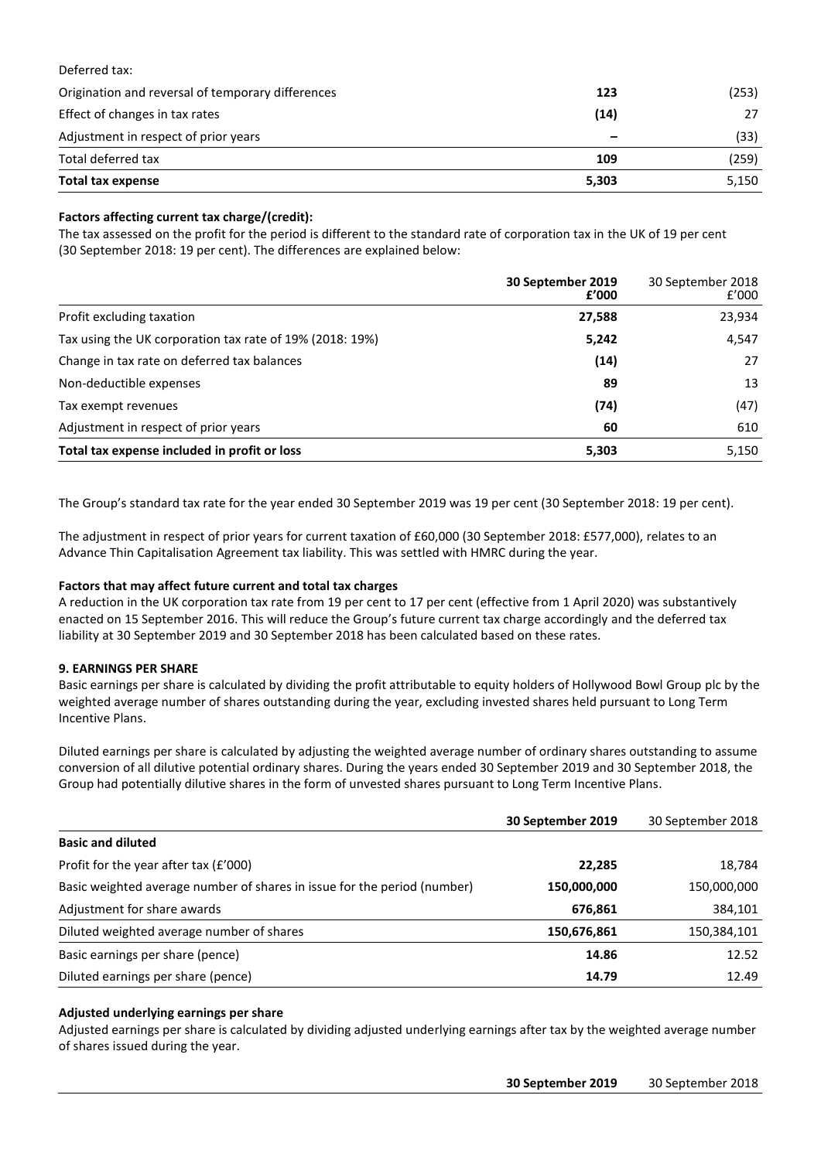# Deferred tax:

| Origination and reversal of temporary differences | 123   | (253) |
|---------------------------------------------------|-------|-------|
| Effect of changes in tax rates                    | (14)  | 27    |
| Adjustment in respect of prior years              | -     | (33)  |
| Total deferred tax                                | 109   | (259) |
| Total tax expense                                 | 5,303 | 5,150 |

# **Factors affecting current tax charge/(credit):**

The tax assessed on the profit for the period is different to the standard rate of corporation tax in the UK of 19 per cent (30 September 2018: 19 per cent). The differences are explained below:

|                                                          | 30 September 2019<br>£'000 | 30 September 2018<br>f'000 |
|----------------------------------------------------------|----------------------------|----------------------------|
| Profit excluding taxation                                | 27,588                     | 23,934                     |
| Tax using the UK corporation tax rate of 19% (2018: 19%) | 5,242                      | 4,547                      |
| Change in tax rate on deferred tax balances              | (14)                       | 27                         |
| Non-deductible expenses                                  | 89                         | 13                         |
| Tax exempt revenues                                      | (74)                       | (47)                       |
| Adjustment in respect of prior years                     | 60                         | 610                        |
| Total tax expense included in profit or loss             | 5,303                      | 5,150                      |

The Group's standard tax rate for the year ended 30 September 2019 was 19 per cent (30 September 2018: 19 per cent).

The adjustment in respect of prior years for current taxation of £60,000 (30 September 2018: £577,000), relates to an Advance Thin Capitalisation Agreement tax liability. This was settled with HMRC during the year.

# **Factors that may affect future current and total tax charges**

A reduction in the UK corporation tax rate from 19 per cent to 17 per cent (effective from 1 April 2020) was substantively enacted on 15 September 2016. This will reduce the Group's future current tax charge accordingly and the deferred tax liability at 30 September 2019 and 30 September 2018 has been calculated based on these rates.

# **9. EARNINGS PER SHARE**

Basic earnings per share is calculated by dividing the profit attributable to equity holders of Hollywood Bowl Group plc by the weighted average number of shares outstanding during the year, excluding invested shares held pursuant to Long Term Incentive Plans.

Diluted earnings per share is calculated by adjusting the weighted average number of ordinary shares outstanding to assume conversion of all dilutive potential ordinary shares. During the years ended 30 September 2019 and 30 September 2018, the Group had potentially dilutive shares in the form of unvested shares pursuant to Long Term Incentive Plans.

|                                                                          | 30 September 2019 | 30 September 2018 |
|--------------------------------------------------------------------------|-------------------|-------------------|
| <b>Basic and diluted</b>                                                 |                   |                   |
| Profit for the year after tax (£'000)                                    | 22,285            | 18,784            |
| Basic weighted average number of shares in issue for the period (number) | 150,000,000       | 150,000,000       |
| Adjustment for share awards                                              | 676,861           | 384,101           |
| Diluted weighted average number of shares                                | 150,676,861       | 150,384,101       |
| Basic earnings per share (pence)                                         | 14.86             | 12.52             |
| Diluted earnings per share (pence)                                       | 14.79             | 12.49             |

# **Adjusted underlying earnings per share**

Adjusted earnings per share is calculated by dividing adjusted underlying earnings after tax by the weighted average number of shares issued during the year.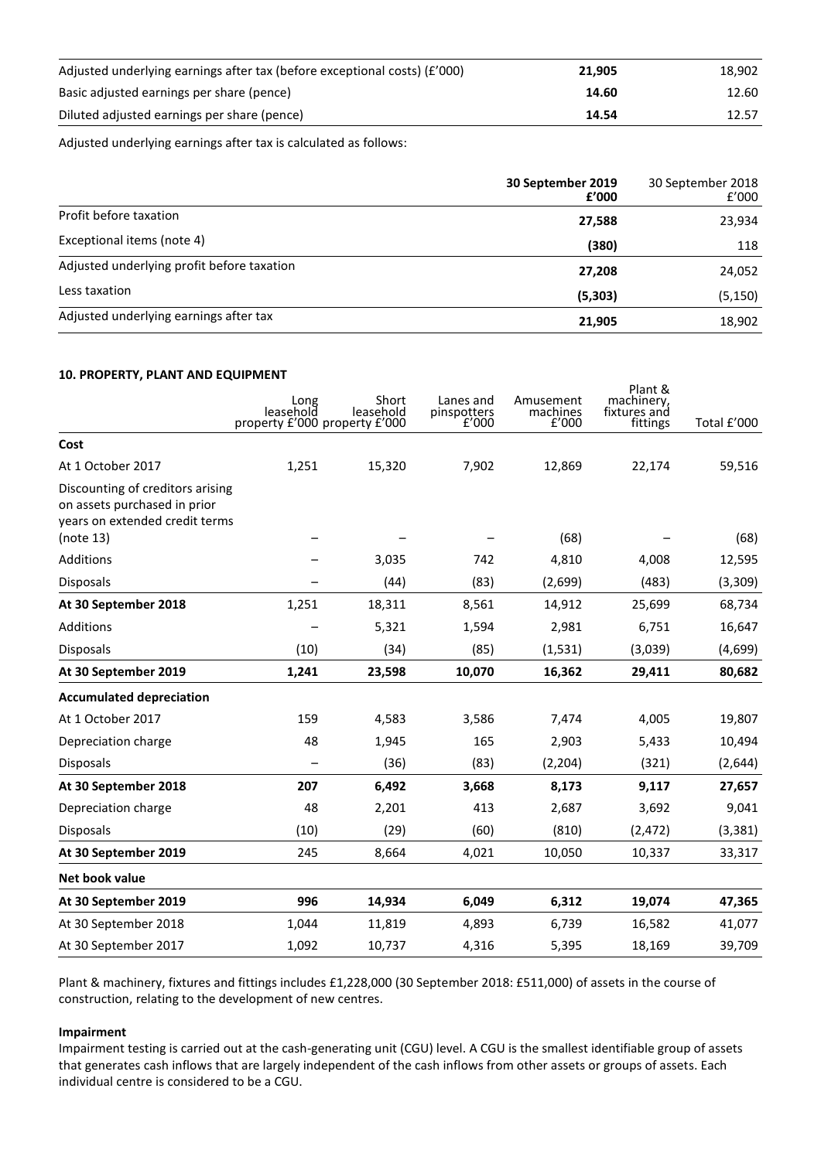| Adjusted underlying earnings after tax (before exceptional costs) $(f'000)$ | 21.905 | 18.902 |
|-----------------------------------------------------------------------------|--------|--------|
| Basic adjusted earnings per share (pence)                                   | 14.60  | 12.60  |
| Diluted adjusted earnings per share (pence)                                 | 14.54  | 12.57  |

Adjusted underlying earnings after tax is calculated as follows:

|                                            | 30 September 2019<br>£'000 | 30 September 2018<br>f'000 |
|--------------------------------------------|----------------------------|----------------------------|
| Profit before taxation                     | 27,588                     | 23,934                     |
| Exceptional items (note 4)                 | (380)                      | 118                        |
| Adjusted underlying profit before taxation | 27,208                     | 24,052                     |
| Less taxation                              | (5,303)                    | (5, 150)                   |
| Adjusted underlying earnings after tax     | 21,905                     | 18,902                     |

# **10. PROPERTY, PLANT AND EQUIPMENT**

|                                                                                                                 | Long<br>leasehold<br>property £'000 property £'000 | Short<br>leasehold | Lanes and<br>pinspotters<br>f'000 | Amusement<br>machines<br>f'000 | Plant &<br>machinery,<br>fixtures and<br>fittings | Total £'000 |
|-----------------------------------------------------------------------------------------------------------------|----------------------------------------------------|--------------------|-----------------------------------|--------------------------------|---------------------------------------------------|-------------|
| Cost                                                                                                            |                                                    |                    |                                   |                                |                                                   |             |
| At 1 October 2017                                                                                               | 1,251                                              | 15,320             | 7,902                             | 12,869                         | 22,174                                            | 59,516      |
| Discounting of creditors arising<br>on assets purchased in prior<br>years on extended credit terms<br>(note 13) |                                                    |                    |                                   | (68)                           |                                                   | (68)        |
| Additions                                                                                                       |                                                    | 3,035              | 742                               | 4,810                          | 4,008                                             | 12,595      |
| Disposals                                                                                                       |                                                    | (44)               | (83)                              | (2,699)                        | (483)                                             | (3,309)     |
| At 30 September 2018                                                                                            | 1,251                                              | 18,311             | 8,561                             | 14,912                         | 25,699                                            | 68,734      |
| Additions                                                                                                       |                                                    | 5,321              | 1,594                             | 2,981                          | 6,751                                             | 16,647      |
| <b>Disposals</b>                                                                                                | (10)                                               | (34)               | (85)                              | (1,531)                        | (3,039)                                           | (4,699)     |
| At 30 September 2019                                                                                            | 1,241                                              | 23,598             | 10,070                            | 16,362                         | 29,411                                            | 80,682      |
| <b>Accumulated depreciation</b>                                                                                 |                                                    |                    |                                   |                                |                                                   |             |
| At 1 October 2017                                                                                               | 159                                                | 4,583              | 3,586                             | 7,474                          | 4,005                                             | 19,807      |
| Depreciation charge                                                                                             | 48                                                 | 1,945              | 165                               | 2,903                          | 5,433                                             | 10,494      |
| Disposals                                                                                                       |                                                    | (36)               | (83)                              | (2, 204)                       | (321)                                             | (2,644)     |
| At 30 September 2018                                                                                            | 207                                                | 6,492              | 3,668                             | 8,173                          | 9,117                                             | 27,657      |
| Depreciation charge                                                                                             | 48                                                 | 2,201              | 413                               | 2,687                          | 3,692                                             | 9,041       |
| <b>Disposals</b>                                                                                                | (10)                                               | (29)               | (60)                              | (810)                          | (2, 472)                                          | (3, 381)    |
| At 30 September 2019                                                                                            | 245                                                | 8,664              | 4,021                             | 10,050                         | 10,337                                            | 33,317      |
| Net book value                                                                                                  |                                                    |                    |                                   |                                |                                                   |             |
| At 30 September 2019                                                                                            | 996                                                | 14,934             | 6,049                             | 6,312                          | 19,074                                            | 47,365      |
| At 30 September 2018                                                                                            | 1,044                                              | 11,819             | 4,893                             | 6,739                          | 16,582                                            | 41,077      |
| At 30 September 2017                                                                                            | 1,092                                              | 10,737             | 4,316                             | 5,395                          | 18,169                                            | 39,709      |

Plant & machinery, fixtures and fittings includes £1,228,000 (30 September 2018: £511,000) of assets in the course of construction, relating to the development of new centres.

# **Impairment**

Impairment testing is carried out at the cash-generating unit (CGU) level. A CGU is the smallest identifiable group of assets that generates cash inflows that are largely independent of the cash inflows from other assets or groups of assets. Each individual centre is considered to be a CGU.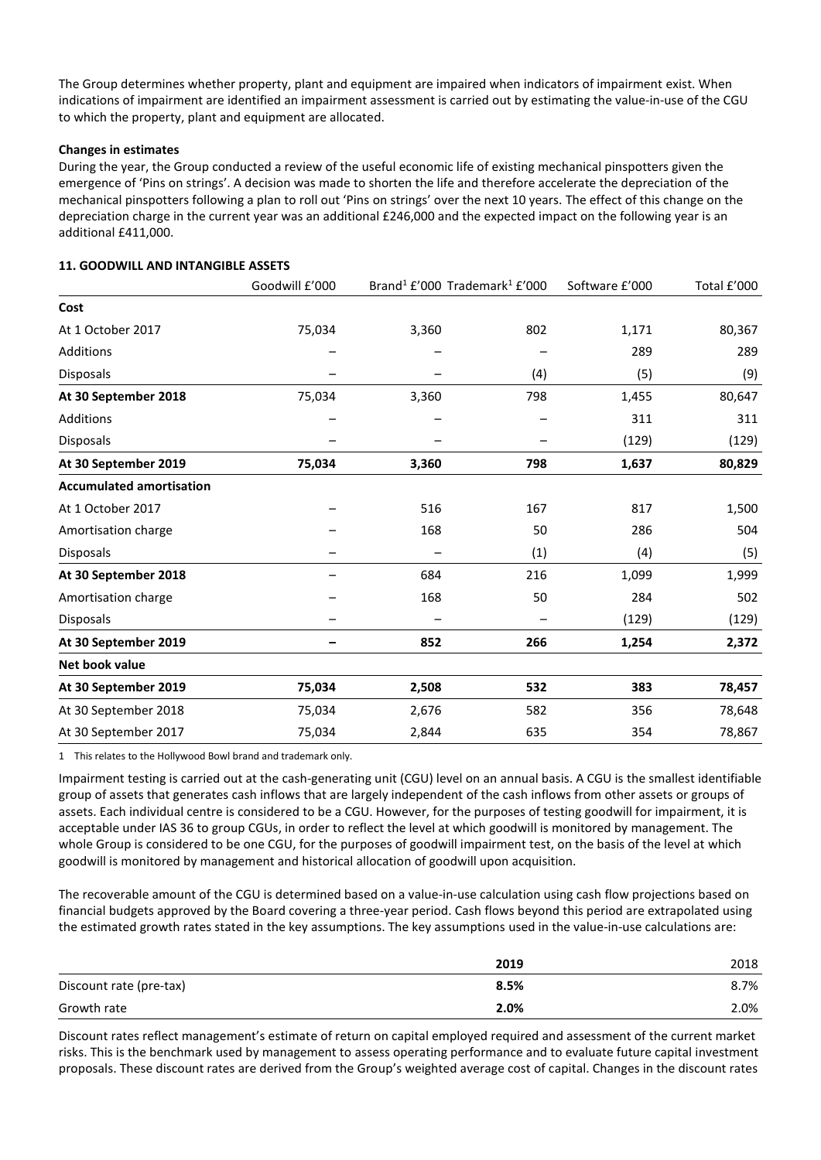The Group determines whether property, plant and equipment are impaired when indicators of impairment exist. When indications of impairment are identified an impairment assessment is carried out by estimating the value-in-use of the CGU to which the property, plant and equipment are allocated.

# **Changes in estimates**

During the year, the Group conducted a review of the useful economic life of existing mechanical pinspotters given the emergence of 'Pins on strings'. A decision was made to shorten the life and therefore accelerate the depreciation of the mechanical pinspotters following a plan to roll out 'Pins on strings' over the next 10 years. The effect of this change on the depreciation charge in the current year was an additional £246,000 and the expected impact on the following year is an additional £411,000.

|                                 | Goodwill £'000 |       | Brand <sup>1</sup> £'000 Trademark <sup>1</sup> £'000 | Software £'000 | Total £'000 |
|---------------------------------|----------------|-------|-------------------------------------------------------|----------------|-------------|
| Cost                            |                |       |                                                       |                |             |
| At 1 October 2017               | 75,034         | 3,360 | 802                                                   | 1,171          | 80,367      |
| <b>Additions</b>                |                |       |                                                       | 289            | 289         |
| Disposals                       |                |       | (4)                                                   | (5)            | (9)         |
| At 30 September 2018            | 75,034         | 3,360 | 798                                                   | 1,455          | 80,647      |
| <b>Additions</b>                |                |       |                                                       | 311            | 311         |
| Disposals                       |                |       |                                                       | (129)          | (129)       |
| At 30 September 2019            | 75,034         | 3,360 | 798                                                   | 1,637          | 80,829      |
| <b>Accumulated amortisation</b> |                |       |                                                       |                |             |
| At 1 October 2017               |                | 516   | 167                                                   | 817            | 1,500       |
| Amortisation charge             |                | 168   | 50                                                    | 286            | 504         |
| Disposals                       |                |       | (1)                                                   | (4)            | (5)         |
| At 30 September 2018            |                | 684   | 216                                                   | 1,099          | 1,999       |
| Amortisation charge             |                | 168   | 50                                                    | 284            | 502         |
| <b>Disposals</b>                |                |       |                                                       | (129)          | (129)       |
| At 30 September 2019            |                | 852   | 266                                                   | 1,254          | 2,372       |
| Net book value                  |                |       |                                                       |                |             |
| At 30 September 2019            | 75,034         | 2,508 | 532                                                   | 383            | 78,457      |
| At 30 September 2018            | 75,034         | 2,676 | 582                                                   | 356            | 78,648      |
| At 30 September 2017            | 75,034         | 2,844 | 635                                                   | 354            | 78,867      |

# **11. GOODWILL AND INTANGIBLE ASSETS**

1 This relates to the Hollywood Bowl brand and trademark only.

Impairment testing is carried out at the cash-generating unit (CGU) level on an annual basis. A CGU is the smallest identifiable group of assets that generates cash inflows that are largely independent of the cash inflows from other assets or groups of assets. Each individual centre is considered to be a CGU. However, for the purposes of testing goodwill for impairment, it is acceptable under IAS 36 to group CGUs, in order to reflect the level at which goodwill is monitored by management. The whole Group is considered to be one CGU, for the purposes of goodwill impairment test, on the basis of the level at which goodwill is monitored by management and historical allocation of goodwill upon acquisition.

The recoverable amount of the CGU is determined based on a value-in-use calculation using cash flow projections based on financial budgets approved by the Board covering a three-year period. Cash flows beyond this period are extrapolated using the estimated growth rates stated in the key assumptions. The key assumptions used in the value-in-use calculations are:

|                         | 2019 | 2018 |
|-------------------------|------|------|
| Discount rate (pre-tax) | 8.5% | 8.7% |
| Growth rate             | 2.0% | 2.0% |

Discount rates reflect management's estimate of return on capital employed required and assessment of the current market risks. This is the benchmark used by management to assess operating performance and to evaluate future capital investment proposals. These discount rates are derived from the Group's weighted average cost of capital. Changes in the discount rates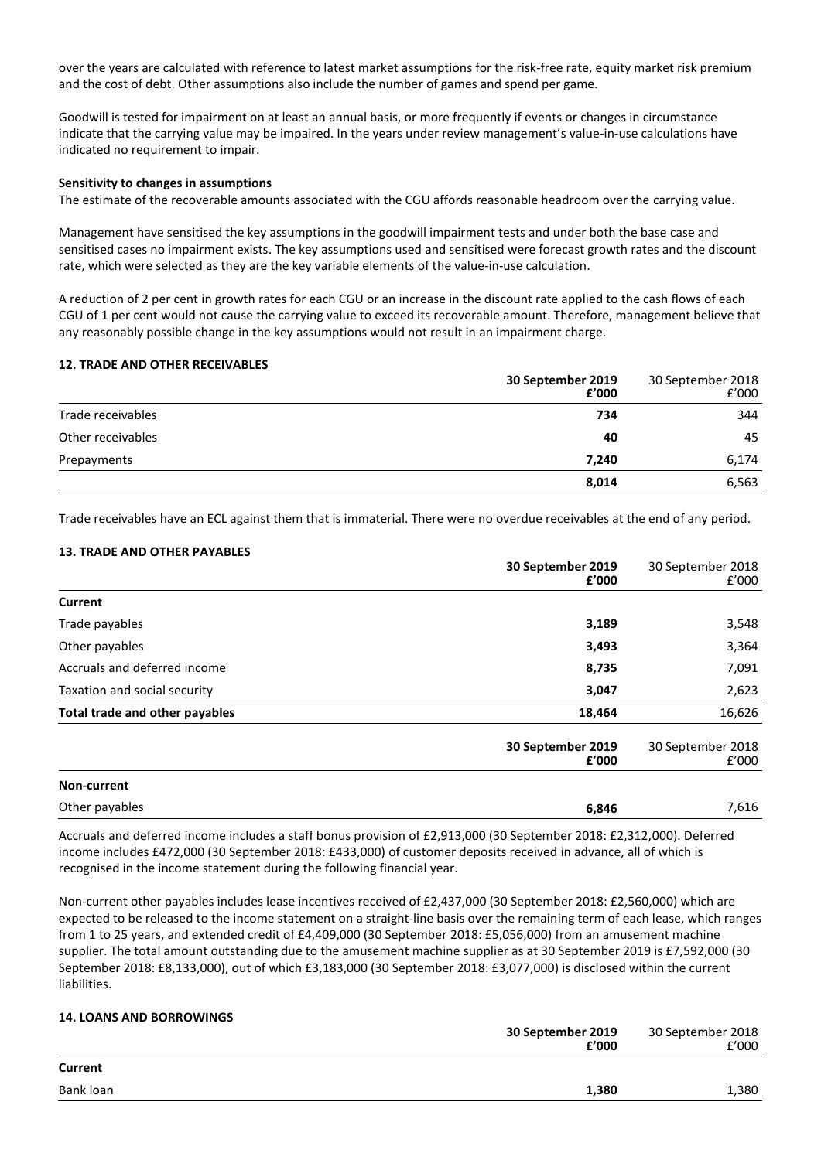over the years are calculated with reference to latest market assumptions for the risk-free rate, equity market risk premium and the cost of debt. Other assumptions also include the number of games and spend per game.

Goodwill is tested for impairment on at least an annual basis, or more frequently if events or changes in circumstance indicate that the carrying value may be impaired. In the years under review management's value-in-use calculations have indicated no requirement to impair.

### **Sensitivity to changes in assumptions**

The estimate of the recoverable amounts associated with the CGU affords reasonable headroom over the carrying value.

Management have sensitised the key assumptions in the goodwill impairment tests and under both the base case and sensitised cases no impairment exists. The key assumptions used and sensitised were forecast growth rates and the discount rate, which were selected as they are the key variable elements of the value-in-use calculation.

A reduction of 2 per cent in growth rates for each CGU or an increase in the discount rate applied to the cash flows of each CGU of 1 per cent would not cause the carrying value to exceed its recoverable amount. Therefore, management believe that any reasonably possible change in the key assumptions would not result in an impairment charge.

### **12. TRADE AND OTHER RECEIVABLES**

|                   | 30 September 2019<br>f'000 | 30 September 2018<br>f'000 |
|-------------------|----------------------------|----------------------------|
| Trade receivables | 734                        | 344                        |
| Other receivables | 40                         | 45                         |
| Prepayments       | 7.240                      | 6,174                      |
|                   | 8,014                      | 6,563                      |

Trade receivables have an ECL against them that is immaterial. There were no overdue receivables at the end of any period.

### **13. TRADE AND OTHER PAYABLES**

|                                | 30 September 2019<br>£'000 | 30 September 2018<br>f'000 |
|--------------------------------|----------------------------|----------------------------|
| Current                        |                            |                            |
| Trade payables                 | 3,189                      | 3,548                      |
| Other payables                 | 3,493                      | 3,364                      |
| Accruals and deferred income   | 8,735                      | 7,091                      |
| Taxation and social security   | 3,047                      | 2,623                      |
| Total trade and other payables | 18,464                     | 16,626                     |
|                                | 30 September 2019<br>f'000 | 30 September 2018<br>f'000 |
| Non-current                    |                            |                            |
| Other payables                 | 6,846                      | 7,616                      |

Accruals and deferred income includes a staff bonus provision of £2,913,000 (30 September 2018: £2,312,000). Deferred income includes £472,000 (30 September 2018: £433,000) of customer deposits received in advance, all of which is recognised in the income statement during the following financial year.

Non-current other payables includes lease incentives received of £2,437,000 (30 September 2018: £2,560,000) which are expected to be released to the income statement on a straight-line basis over the remaining term of each lease, which ranges from 1 to 25 years, and extended credit of £4,409,000 (30 September 2018: £5,056,000) from an amusement machine supplier. The total amount outstanding due to the amusement machine supplier as at 30 September 2019 is £7,592,000 (30 September 2018: £8,133,000), out of which £3,183,000 (30 September 2018: £3,077,000) is disclosed within the current liabilities.

# **14. LOANS AND BORROWINGS**

|           | 30 September 2019<br>£'000 | 30 September 2018<br>f'000 |
|-----------|----------------------------|----------------------------|
| Current   |                            |                            |
| Bank loan | 1,380                      | 1,380                      |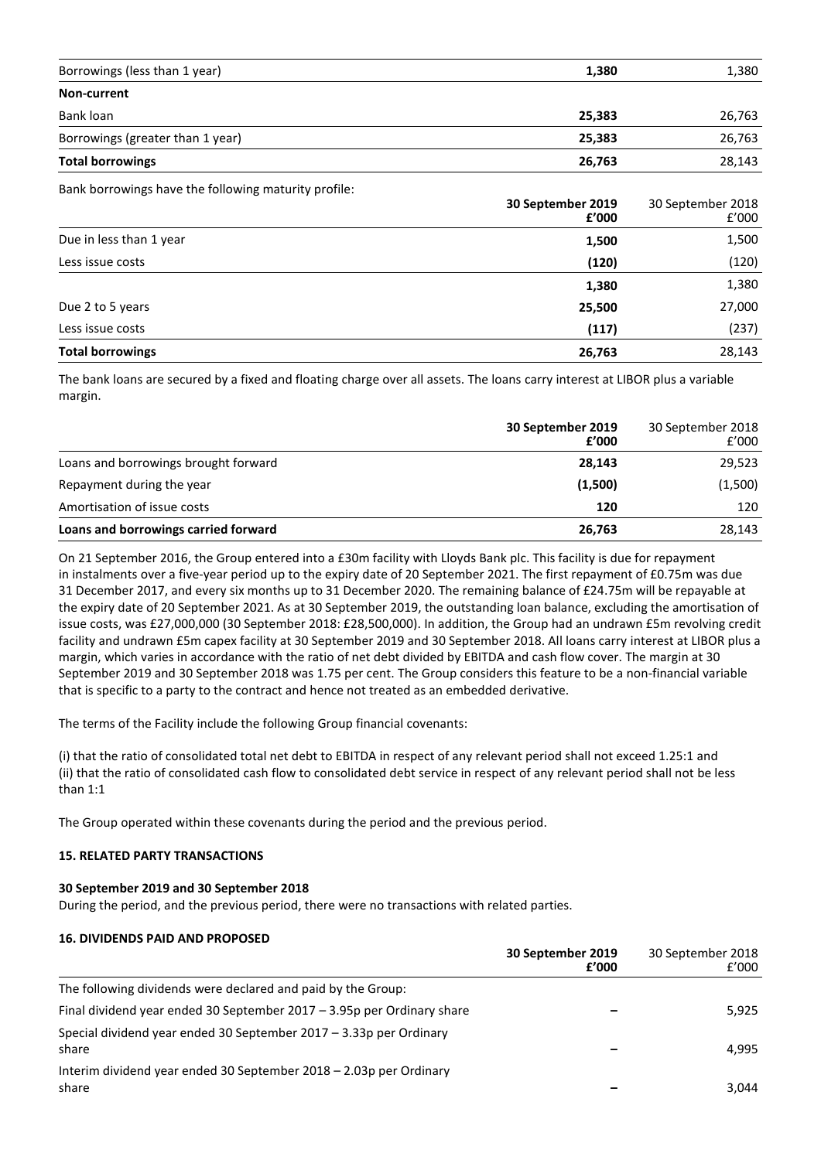| Borrowings (less than 1 year)    | 1,380  | 1,380  |
|----------------------------------|--------|--------|
| Non-current                      |        |        |
| Bank loan                        | 25,383 | 26,763 |
| Borrowings (greater than 1 year) | 25,383 | 26,763 |
| <b>Total borrowings</b>          | 26,763 | 28,143 |

Bank borrowings have the following maturity profile:

|                         | 30 September 2019<br>£'000 | 30 September 2018<br>f'000 |
|-------------------------|----------------------------|----------------------------|
| Due in less than 1 year | 1,500                      | 1,500                      |
| Less issue costs        | (120)                      | (120)                      |
|                         | 1,380                      | 1,380                      |
| Due 2 to 5 years        | 25,500                     | 27,000                     |
| Less issue costs        | (117)                      | (237)                      |
| <b>Total borrowings</b> | 26,763                     | 28,143                     |

The bank loans are secured by a fixed and floating charge over all assets. The loans carry interest at LIBOR plus a variable margin.

|                                      | 30 September 2019<br>f'000 | 30 September 2018<br>f'000 |
|--------------------------------------|----------------------------|----------------------------|
| Loans and borrowings brought forward | 28,143                     | 29,523                     |
| Repayment during the year            | (1,500)                    | (1,500)                    |
| Amortisation of issue costs          | 120                        | 120                        |
| Loans and borrowings carried forward | 26,763                     | 28,143                     |

On 21 September 2016, the Group entered into a £30m facility with Lloyds Bank plc. This facility is due for repayment in instalments over a five-year period up to the expiry date of 20 September 2021. The first repayment of £0.75m was due 31 December 2017, and every six months up to 31 December 2020. The remaining balance of £24.75m will be repayable at the expiry date of 20 September 2021. As at 30 September 2019, the outstanding loan balance, excluding the amortisation of issue costs, was £27,000,000 (30 September 2018: £28,500,000). In addition, the Group had an undrawn £5m revolving credit facility and undrawn £5m capex facility at 30 September 2019 and 30 September 2018. All loans carry interest at LIBOR plus a margin, which varies in accordance with the ratio of net debt divided by EBITDA and cash flow cover. The margin at 30 September 2019 and 30 September 2018 was 1.75 per cent. The Group considers this feature to be a non-financial variable that is specific to a party to the contract and hence not treated as an embedded derivative.

The terms of the Facility include the following Group financial covenants:

(i) that the ratio of consolidated total net debt to EBITDA in respect of any relevant period shall not exceed 1.25:1 and (ii) that the ratio of consolidated cash flow to consolidated debt service in respect of any relevant period shall not be less than 1:1

The Group operated within these covenants during the period and the previous period.

# **15. RELATED PARTY TRANSACTIONS**

### **30 September 2019 and 30 September 2018**

During the period, and the previous period, there were no transactions with related parties.

### **16. DIVIDENDS PAID AND PROPOSED**

|                                                                             | 30 September 2019<br>£'000 | 30 September 2018<br>f'000 |
|-----------------------------------------------------------------------------|----------------------------|----------------------------|
| The following dividends were declared and paid by the Group:                |                            |                            |
| Final dividend year ended 30 September 2017 - 3.95p per Ordinary share      |                            | 5,925                      |
| Special dividend year ended 30 September 2017 - 3.33p per Ordinary<br>share |                            | 4.995                      |
| Interim dividend year ended 30 September 2018 - 2.03p per Ordinary<br>share |                            | 3.044                      |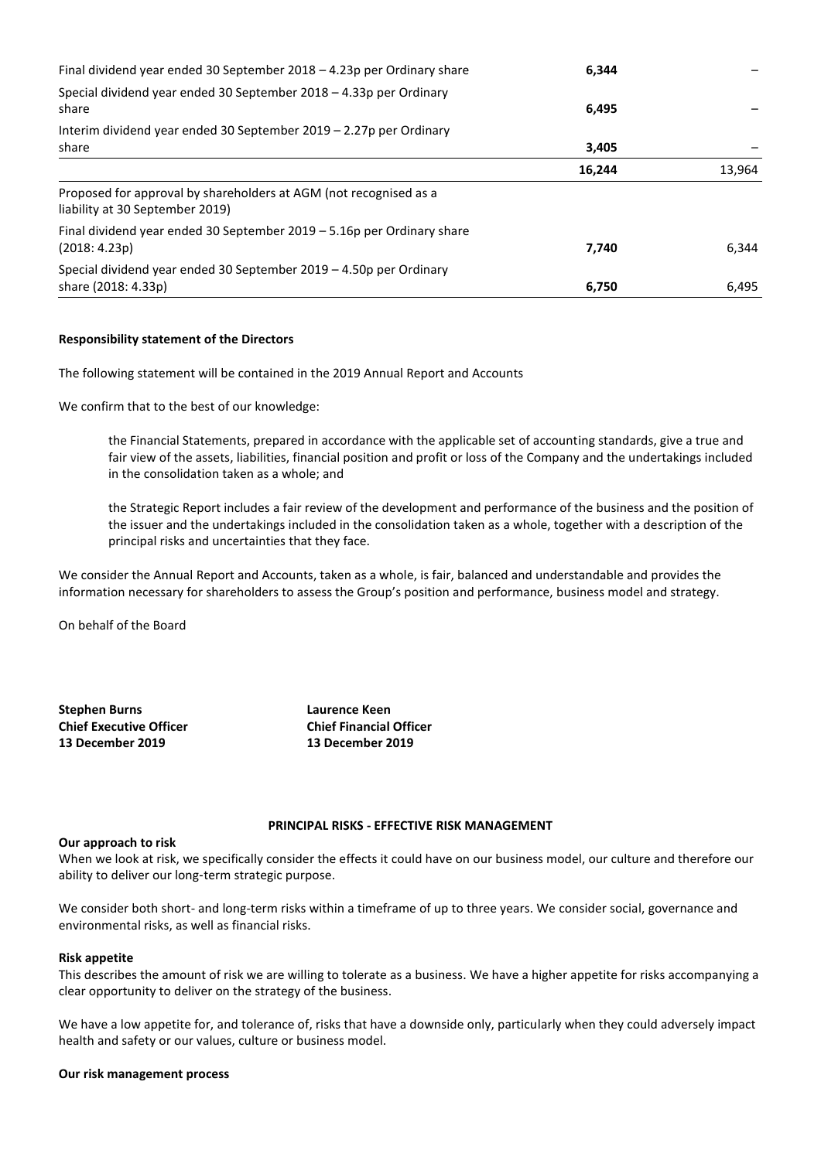| Final dividend year ended 30 September $2018 - 4.23p$ per Ordinary share                             | 6.344  |        |
|------------------------------------------------------------------------------------------------------|--------|--------|
| Special dividend year ended 30 September 2018 - 4.33p per Ordinary<br>share                          | 6,495  |        |
| Interim dividend year ended 30 September 2019 - 2.27p per Ordinary                                   |        |        |
| share                                                                                                | 3,405  |        |
|                                                                                                      | 16,244 | 13,964 |
| Proposed for approval by shareholders at AGM (not recognised as a<br>liability at 30 September 2019) |        |        |
| Final dividend year ended 30 September $2019 - 5.16p$ per Ordinary share<br>(2018: 4.23p)            | 7.740  | 6.344  |
| Special dividend year ended 30 September 2019 - 4.50p per Ordinary<br>share (2018: 4.33p)            | 6,750  | 6,495  |

### **Responsibility statement of the Directors**

The following statement will be contained in the 2019 Annual Report and Accounts

We confirm that to the best of our knowledge:

the Financial Statements, prepared in accordance with the applicable set of accounting standards, give a true and fair view of the assets, liabilities, financial position and profit or loss of the Company and the undertakings included in the consolidation taken as a whole; and

the Strategic Report includes a fair review of the development and performance of the business and the position of the issuer and the undertakings included in the consolidation taken as a whole, together with a description of the principal risks and uncertainties that they face.

We consider the Annual Report and Accounts, taken as a whole, is fair, balanced and understandable and provides the information necessary for shareholders to assess the Group's position and performance, business model and strategy.

On behalf of the Board

**Stephen Burns Laurence Keen Chief Executive Officer Chief Financial Officer 13 December 2019 13 December 2019**

### **PRINCIPAL RISKS - EFFECTIVE RISK MANAGEMENT**

### **Our approach to risk**

When we look at risk, we specifically consider the effects it could have on our business model, our culture and therefore our ability to deliver our long-term strategic purpose.

We consider both short- and long-term risks within a timeframe of up to three years. We consider social, governance and environmental risks, as well as financial risks.

#### **Risk appetite**

This describes the amount of risk we are willing to tolerate as a business. We have a higher appetite for risks accompanying a clear opportunity to deliver on the strategy of the business.

We have a low appetite for, and tolerance of, risks that have a downside only, particularly when they could adversely impact health and safety or our values, culture or business model.

#### **Our risk management process**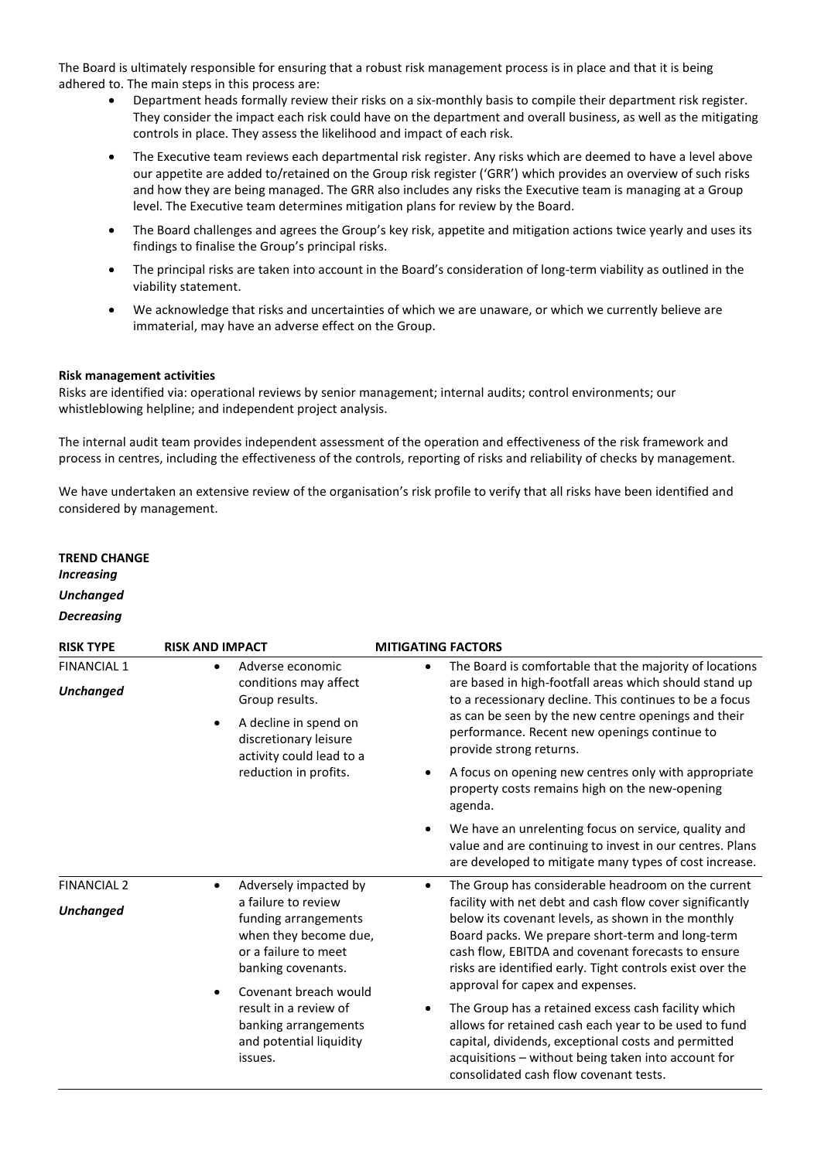The Board is ultimately responsible for ensuring that a robust risk management process is in place and that it is being adhered to. The main steps in this process are:

- Department heads formally review their risks on a six-monthly basis to compile their department risk register. They consider the impact each risk could have on the department and overall business, as well as the mitigating controls in place. They assess the likelihood and impact of each risk.
- The Executive team reviews each departmental risk register. Any risks which are deemed to have a level above our appetite are added to/retained on the Group risk register ('GRR') which provides an overview of such risks and how they are being managed. The GRR also includes any risks the Executive team is managing at a Group level. The Executive team determines mitigation plans for review by the Board.
- The Board challenges and agrees the Group's key risk, appetite and mitigation actions twice yearly and uses its findings to finalise the Group's principal risks.
- The principal risks are taken into account in the Board's consideration of long-term viability as outlined in the viability statement.
- We acknowledge that risks and uncertainties of which we are unaware, or which we currently believe are immaterial, may have an adverse effect on the Group.

### **Risk management activities**

Risks are identified via: operational reviews by senior management; internal audits; control environments; our whistleblowing helpline; and independent project analysis.

The internal audit team provides independent assessment of the operation and effectiveness of the risk framework and process in centres, including the effectiveness of the controls, reporting of risks and reliability of checks by management.

We have undertaken an extensive review of the organisation's risk profile to verify that all risks have been identified and considered by management.

# **TREND CHANGE** *Increasing Unchanged Decreasing*

| <b>RISK TYPE</b>                       | <b>RISK AND IMPACT</b>                                                                                                                                              | <b>MITIGATING FACTORS</b>                                                                                                                                                                                                                                                                                                 |
|----------------------------------------|---------------------------------------------------------------------------------------------------------------------------------------------------------------------|---------------------------------------------------------------------------------------------------------------------------------------------------------------------------------------------------------------------------------------------------------------------------------------------------------------------------|
| <b>FINANCIAL 1</b><br><b>Unchanged</b> | Adverse economic<br>$\bullet$<br>conditions may affect<br>Group results.<br>A decline in spend on<br>$\bullet$<br>discretionary leisure<br>activity could lead to a | The Board is comfortable that the majority of locations<br>٠<br>are based in high-footfall areas which should stand up<br>to a recessionary decline. This continues to be a focus<br>as can be seen by the new centre openings and their<br>performance. Recent new openings continue to<br>provide strong returns.       |
|                                        | reduction in profits.                                                                                                                                               | A focus on opening new centres only with appropriate<br>٠<br>property costs remains high on the new-opening<br>agenda.                                                                                                                                                                                                    |
|                                        |                                                                                                                                                                     | We have an unrelenting focus on service, quality and<br>$\bullet$<br>value and are continuing to invest in our centres. Plans<br>are developed to mitigate many types of cost increase.                                                                                                                                   |
| <b>FINANCIAL 2</b>                     | Adversely impacted by<br>$\bullet$                                                                                                                                  | The Group has considerable headroom on the current<br>٠                                                                                                                                                                                                                                                                   |
| <b>Unchanged</b>                       | a failure to review<br>funding arrangements<br>when they become due,<br>or a failure to meet<br>banking covenants.<br>Covenant breach would                         | facility with net debt and cash flow cover significantly<br>below its covenant levels, as shown in the monthly<br>Board packs. We prepare short-term and long-term<br>cash flow, EBITDA and covenant forecasts to ensure<br>risks are identified early. Tight controls exist over the<br>approval for capex and expenses. |
|                                        | result in a review of<br>banking arrangements<br>and potential liquidity<br>issues.                                                                                 | The Group has a retained excess cash facility which<br>٠<br>allows for retained cash each year to be used to fund<br>capital, dividends, exceptional costs and permitted<br>acquisitions - without being taken into account for<br>consolidated cash flow covenant tests.                                                 |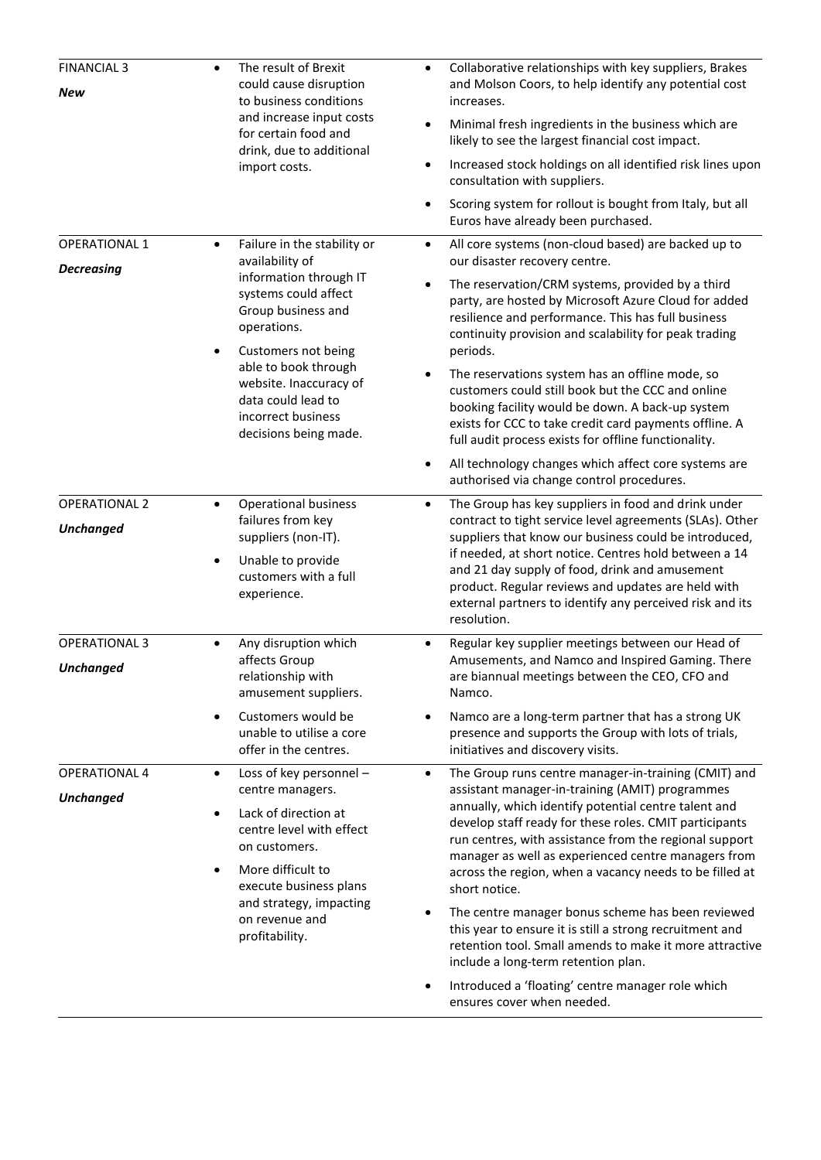| <b>FINANCIAL 3</b><br>New                 | The result of Brexit<br>could cause disruption<br>to business conditions<br>and increase input costs<br>for certain food and<br>drink, due to additional<br>import costs.                                                                                                                        | Collaborative relationships with key suppliers, Brakes<br>and Molson Coors, to help identify any potential cost<br>increases.<br>Minimal fresh ingredients in the business which are<br>$\bullet$<br>likely to see the largest financial cost impact.                                                                                                                                                                               |
|-------------------------------------------|--------------------------------------------------------------------------------------------------------------------------------------------------------------------------------------------------------------------------------------------------------------------------------------------------|-------------------------------------------------------------------------------------------------------------------------------------------------------------------------------------------------------------------------------------------------------------------------------------------------------------------------------------------------------------------------------------------------------------------------------------|
|                                           |                                                                                                                                                                                                                                                                                                  | Increased stock holdings on all identified risk lines upon<br>$\bullet$<br>consultation with suppliers.                                                                                                                                                                                                                                                                                                                             |
|                                           |                                                                                                                                                                                                                                                                                                  | Scoring system for rollout is bought from Italy, but all<br>Euros have already been purchased.                                                                                                                                                                                                                                                                                                                                      |
| <b>OPERATIONAL 1</b><br><b>Decreasing</b> | Failure in the stability or<br>$\bullet$<br>availability of<br>information through IT<br>systems could affect<br>Group business and<br>operations.<br>Customers not being<br>able to book through<br>website. Inaccuracy of<br>data could lead to<br>incorrect business<br>decisions being made. | All core systems (non-cloud based) are backed up to<br>$\bullet$<br>our disaster recovery centre.                                                                                                                                                                                                                                                                                                                                   |
|                                           |                                                                                                                                                                                                                                                                                                  | The reservation/CRM systems, provided by a third<br>$\bullet$<br>party, are hosted by Microsoft Azure Cloud for added<br>resilience and performance. This has full business<br>continuity provision and scalability for peak trading<br>periods.                                                                                                                                                                                    |
|                                           |                                                                                                                                                                                                                                                                                                  | The reservations system has an offline mode, so<br>$\bullet$<br>customers could still book but the CCC and online<br>booking facility would be down. A back-up system<br>exists for CCC to take credit card payments offline. A<br>full audit process exists for offline functionality.                                                                                                                                             |
|                                           |                                                                                                                                                                                                                                                                                                  | All technology changes which affect core systems are<br>$\bullet$<br>authorised via change control procedures.                                                                                                                                                                                                                                                                                                                      |
| <b>OPERATIONAL 2</b><br><b>Unchanged</b>  | <b>Operational business</b><br>$\bullet$<br>failures from key<br>suppliers (non-IT).<br>Unable to provide<br>٠<br>customers with a full<br>experience.                                                                                                                                           | The Group has key suppliers in food and drink under<br>$\bullet$<br>contract to tight service level agreements (SLAs). Other<br>suppliers that know our business could be introduced,<br>if needed, at short notice. Centres hold between a 14<br>and 21 day supply of food, drink and amusement<br>product. Regular reviews and updates are held with<br>external partners to identify any perceived risk and its<br>resolution.   |
| <b>OPERATIONAL 3</b><br><b>Unchanged</b>  | Any disruption which<br>$\bullet$<br>affects Group<br>relationship with<br>amusement suppliers.                                                                                                                                                                                                  | Regular key supplier meetings between our Head of<br>$\bullet$<br>Amusements, and Namco and Inspired Gaming. There<br>are biannual meetings between the CEO, CFO and<br>Namco.                                                                                                                                                                                                                                                      |
|                                           | Customers would be<br>unable to utilise a core<br>offer in the centres.                                                                                                                                                                                                                          | Namco are a long-term partner that has a strong UK<br>presence and supports the Group with lots of trials,<br>initiatives and discovery visits.                                                                                                                                                                                                                                                                                     |
| <b>OPERATIONAL 4</b><br><b>Unchanged</b>  | Loss of key personnel -<br>$\bullet$<br>centre managers.<br>Lack of direction at<br>centre level with effect<br>on customers.<br>More difficult to<br>execute business plans                                                                                                                     | The Group runs centre manager-in-training (CMIT) and<br>$\bullet$<br>assistant manager-in-training (AMIT) programmes<br>annually, which identify potential centre talent and<br>develop staff ready for these roles. CMIT participants<br>run centres, with assistance from the regional support<br>manager as well as experienced centre managers from<br>across the region, when a vacancy needs to be filled at<br>short notice. |
|                                           | and strategy, impacting<br>on revenue and<br>profitability.                                                                                                                                                                                                                                      | The centre manager bonus scheme has been reviewed<br>this year to ensure it is still a strong recruitment and<br>retention tool. Small amends to make it more attractive<br>include a long-term retention plan.                                                                                                                                                                                                                     |
|                                           |                                                                                                                                                                                                                                                                                                  | Introduced a 'floating' centre manager role which<br>ensures cover when needed.                                                                                                                                                                                                                                                                                                                                                     |